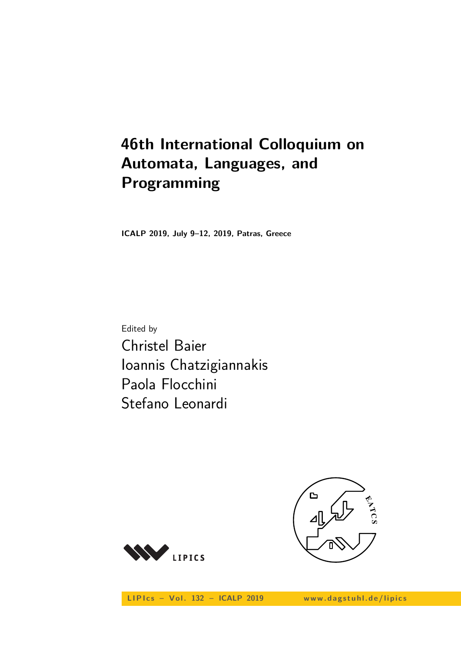# **46th International Colloquium on Automata, Languages, and Programming**

**ICALP 2019, July 9–12, 2019, Patras, Greece**

Edited by Christel Baier Ioannis Chatzigiannakis Paola Flocchini Stefano Leonardi



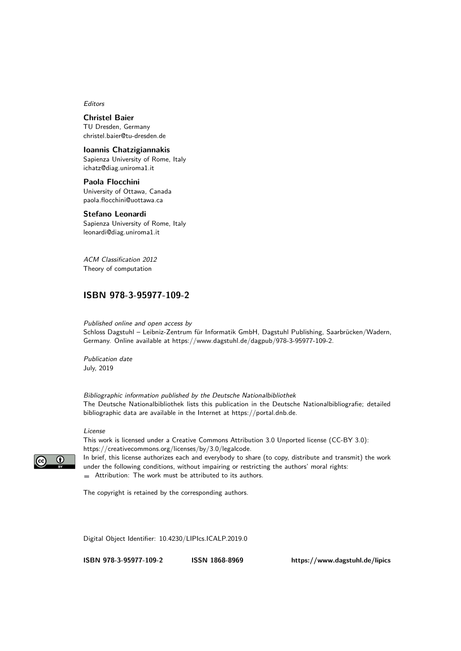Editors

**Christel Baier** TU Dresden, Germany [christel.baier@tu-dresden.de](mailto:christel.baier@tu-dresden.de)

#### **Ioannis Chatzigiannakis**

Sapienza University of Rome, Italy [ichatz@diag.uniroma1.it](mailto:ichatz@diag.uniroma1.it)

**Paola Flocchini** University of Ottawa, Canada [paola.flocchini@uottawa.ca](mailto:paola.flocchini@uottawa.ca)

#### **Stefano Leonardi**

Sapienza University of Rome, Italy [leonardi@diag.uniroma1.it](mailto:leonardi@diag.uniroma1.it)

ACM Classification 2012 Theory of computation

## **[ISBN 978-3-95977-109-2](https://www.dagstuhl.de/dagpub/978-3-95977-109-2)**

Published online and open access by

Schloss Dagstuhl – Leibniz-Zentrum für Informatik GmbH, Dagstuhl Publishing, Saarbrücken/Wadern, Germany. Online available at [https://www.dagstuhl.de/dagpub/978-3-95977-109-2.](https://www.dagstuhl.de/dagpub/978-3-95977-109-2)

Publication date July, 2019

Bibliographic information published by the Deutsche Nationalbibliothek The Deutsche Nationalbibliothek lists this publication in the Deutsche Nationalbibliografie; detailed bibliographic data are available in the Internet at [https://portal.dnb.de.](https://portal.dnb.de)

#### License

This work is licensed under a Creative Commons Attribution 3.0 Unported license (CC-BY 3.0): [https://creativecommons.org/licenses/by/3.0/legalcode.](https://creativecommons.org/licenses/by/3.0/legalcode) In brief, this license authorizes each and everybody to share (to copy, distribute and transmit) the work under the following conditions, without impairing or restricting the authors' moral rights:

Attribution: The work must be attributed to its authors.

The copyright is retained by the corresponding authors.

Digital Object Identifier: [10.4230/LIPIcs.ICALP.2019.0](https://doi.org/10.4230/LIPIcs.ICALP.2019.0)

**[ISBN 978-3-95977-109-2](https://www.dagstuhl.de/dagpub/978-3-95977-109-2) [ISSN 1868-8969](https://www.dagstuhl.de/dagpub/1868-8969)<https://www.dagstuhl.de/lipics>**

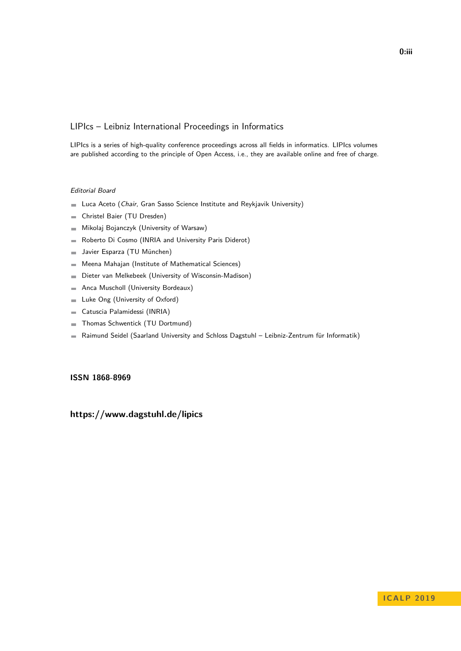# LIPIcs – Leibniz International Proceedings in Informatics

LIPIcs is a series of high-quality conference proceedings across all fields in informatics. LIPIcs volumes are published according to the principle of Open Access, i.e., they are available online and free of charge.

## Editorial Board

- **Luca Aceto** (*Chair*, Gran Sasso Science Institute and Reykjavik University)
- Christel Baier (TU Dresden)  $\equiv$
- Mikolaj Bojanczyk (University of Warsaw)  $\sim$
- Roberto Di Cosmo (INRIA and University Paris Diderot)  $\equiv$
- Javier Esparza (TU München)  $\sim$
- Meena Mahajan (Institute of Mathematical Sciences)  $\blacksquare$
- Dieter van Melkebeek (University of Wisconsin-Madison)  $\blacksquare$
- Anca Muscholl (University Bordeaux)  $\overline{a}$
- Luke Ong (University of Oxford)  $\blacksquare$
- Catuscia Palamidessi (INRIA)  $\blacksquare$
- Thomas Schwentick (TU Dortmund)  $\bar{a}$
- Raimund Seidel (Saarland University and Schloss Dagstuhl Leibniz-Zentrum für Informatik)  $\blacksquare$

## **[ISSN 1868-8969](https://www.dagstuhl.de/dagpub/1868-8969)**

# **<https://www.dagstuhl.de/lipics>**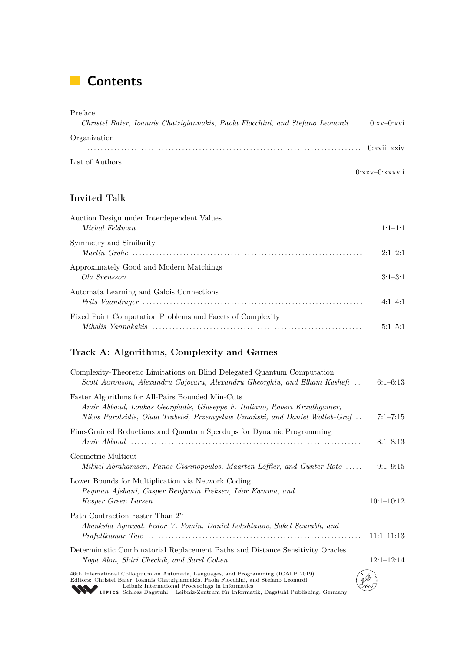# **Contents**

| Preface<br>Christel Baier, Ioannis Chatzigiannakis, Paola Flocchini, and Stefano Leonardi  0:xv-0:xvi |               |
|-------------------------------------------------------------------------------------------------------|---------------|
| Organization                                                                                          | $0:xyii-xxiv$ |
| List of Authors                                                                                       |               |
|                                                                                                       |               |

# **Invited Talk**

| Auction Design under Interdependent Values                | $1:1-1:1$   |
|-----------------------------------------------------------|-------------|
| Symmetry and Similarity                                   | $2:1-2:1$   |
| Approximately Good and Modern Matchings                   | $3:1-3:1$   |
| Automata Learning and Galois Connections                  | $4.1 - 4.1$ |
| Fixed Point Computation Problems and Facets of Complexity | $5:1-5:1$   |

# **Track A: Algorithms, Complexity and Games**

| Complexity-Theoretic Limitations on Blind Delegated Quantum Computation<br>Scott Aaronson, Alexandru Cojocaru, Alexandru Gheorghiu, and Elham Kashefi                                                                                                                                                                        | $6:1-6:13$   |
|------------------------------------------------------------------------------------------------------------------------------------------------------------------------------------------------------------------------------------------------------------------------------------------------------------------------------|--------------|
| Faster Algorithms for All-Pairs Bounded Min-Cuts<br>Amir Abboud, Loukas Georgiadis, Giuseppe F. Italiano, Robert Krauthgamer,<br>Nikos Parotsidis, Ohad Trabelsi, Przemysław Uznański, and Daniel Wolleb-Graf                                                                                                                | $7:1 - 7:15$ |
| Fine-Grained Reductions and Quantum Speedups for Dynamic Programming                                                                                                                                                                                                                                                         | $8:1 - 8:13$ |
| Geometric Multicut<br>Mikkel Abrahamsen, Panos Giannopoulos, Maarten Löffter, and Günter Rote                                                                                                                                                                                                                                | $9:1-9:15$   |
| Lower Bounds for Multiplication via Network Coding<br>Peyman Afshani, Casper Benjamin Freksen, Lior Kamma, and                                                                                                                                                                                                               | $10:1-10:12$ |
| Path Contraction Faster Than $2^n$<br>Akanksha Agrawal, Fedor V. Fomin, Daniel Lokshtanov, Saket Saurabh, and                                                                                                                                                                                                                | $11:1-11:13$ |
| Deterministic Combinatorial Replacement Paths and Distance Sensitivity Oracles                                                                                                                                                                                                                                               | $12:1-12:14$ |
| 46th International Colloquium on Automata, Languages, and Programming (ICALP 2019).<br>Editors: Christel Baier, Ioannis Chatzigiannakis, Paola Flocchini, and Stefano Leonardi<br>Leibniz International Proceedings in Informatics<br>LIPICS Schloss Dagstuhl - Leibniz-Zentrum für Informatik, Dagstuhl Publishing, Germany |              |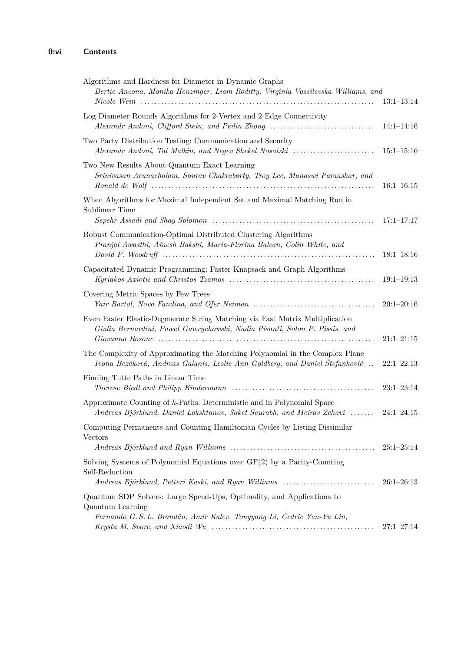| Algorithms and Hardness for Diameter in Dynamic Graphs<br>Bertie Ancona, Monika Henzinger, Liam Roditty, Virginia Vassilevska Williams, and                         | $13:1-13:14$   |
|---------------------------------------------------------------------------------------------------------------------------------------------------------------------|----------------|
| Log Diameter Rounds Algorithms for 2-Vertex and 2-Edge Connectivity<br>Alexandr Andoni, Clifford Stein, and Peilin Zhong                                            | $14:1-14:16$   |
| Two Party Distribution Testing: Communication and Security<br>Alexandr Andoni, Tal Malkin, and Negev Shekel Nosatzki                                                | $15:1 - 15:16$ |
| Two New Results About Quantum Exact Learning<br>Srinivasan Arunachalam, Sourav Chakraborty, Troy Lee, Manaswi Paraashar, and                                        | $16:1-16:15$   |
| When Algorithms for Maximal Independent Set and Maximal Matching Run in<br>Sublinear Time                                                                           | $17:1 - 17:17$ |
| Robust Communication-Optimal Distributed Clustering Algorithms<br>Pranjal Awasthi, Ainesh Bakshi, Maria-Florina Balcan, Colin White, and                            | $18:1-18:16$   |
| Capacitated Dynamic Programming: Faster Knapsack and Graph Algorithms                                                                                               | $19:1-19:13$   |
| Covering Metric Spaces by Few Trees                                                                                                                                 | $20:1 - 20:16$ |
| Even Faster Elastic-Degenerate String Matching via Fast Matrix Multiplication<br>Giulia Bernardini, Paweł Gawrychowski, Nadia Pisanti, Solon P. Pissis, and         | $21:1-21:15$   |
| The Complexity of Approximating the Matching Polynomial in the Complex Plane<br>Ivona Bezáková, Andreas Galanis, Leslie Ann Goldberg, and Daniel Štefankovič        | $22:1-22:13$   |
| Finding Tutte Paths in Linear Time                                                                                                                                  | $23:1-23:14$   |
| Approximate Counting of k-Paths: Deterministic and in Polynomial Space<br>Andreas Björklund, Daniel Lokshtanov, Saket Saurabh, and Meirav Zehavi                    | $24:1 - 24:15$ |
| Computing Permanents and Counting Hamiltonian Cycles by Listing Dissimilar<br><b>Vectors</b>                                                                        | $25:1-25:14$   |
| Solving Systems of Polynomial Equations over $GF(2)$ by a Parity-Counting<br>Self-Reduction                                                                         |                |
| Andreas Björklund, Petteri Kaski, and Ryan Williams                                                                                                                 | $26:1-26:13$   |
| Quantum SDP Solvers: Large Speed-Ups, Optimality, and Applications to<br>Quantum Learning<br>Fernando G. S. L. Brandão, Amir Kalev, Tongyang Li, Cedric Yen-Yu Lin, | $27:1 - 27:14$ |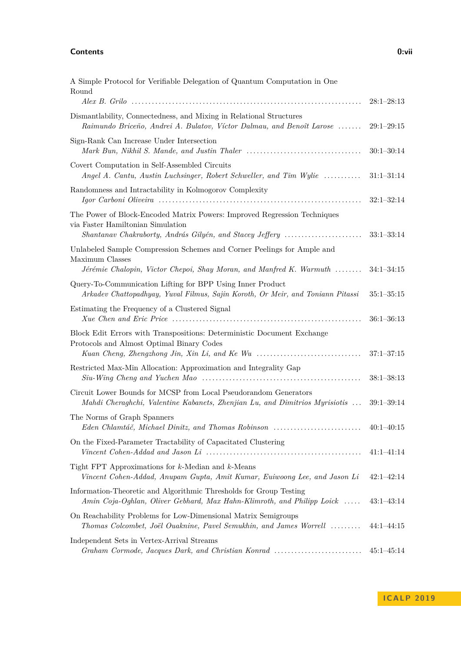#### **Contents 0:vii**

| A Simple Protocol for Verifiable Delegation of Quantum Computation in One<br>Round                                                                                        |                |
|---------------------------------------------------------------------------------------------------------------------------------------------------------------------------|----------------|
|                                                                                                                                                                           | $28:1-28:13$   |
| Dismantlability, Connectedness, and Mixing in Relational Structures<br>Raimundo Briceño, Andrei A. Bulatov, Víctor Dalmau, and Benoît Larose                              | $29:1-29:15$   |
| Sign-Rank Can Increase Under Intersection                                                                                                                                 | $30:1 - 30:14$ |
| Covert Computation in Self-Assembled Circuits<br>Angel A. Cantu, Austin Luchsinger, Robert Schweller, and Tim Wylie                                                       | $31:1 - 31:14$ |
| Randomness and Intractability in Kolmogorov Complexity                                                                                                                    | $32:1 - 32:14$ |
| The Power of Block-Encoded Matrix Powers: Improved Regression Techniques<br>via Faster Hamiltonian Simulation<br>Shantanav Chakraborty, András Gilyén, and Stacey Jeffery | $33:1-33:14$   |
| Unlabeled Sample Compression Schemes and Corner Peelings for Ample and                                                                                                    |                |
| Maximum Classes<br>Jérémie Chalopin, Victor Chepoi, Shay Moran, and Manfred K. Warmuth                                                                                    | $34:1 - 34:15$ |
| Query-To-Communication Lifting for BPP Using Inner Product<br>Arkadev Chattopadhyay, Yuval Filmus, Sajin Koroth, Or Meir, and Toniann Pitassi                             | $35:1 - 35:15$ |
| Estimating the Frequency of a Clustered Signal                                                                                                                            | $36:1 - 36:13$ |
| Block Edit Errors with Transpositions: Deterministic Document Exchange<br>Protocols and Almost Optimal Binary Codes<br>Kuan Cheng, Zhengzhong Jin, Xin Li, and Ke Wu      | $37:1 - 37:15$ |
| Restricted Max-Min Allocation: Approximation and Integrality Gap                                                                                                          | $38:1 - 38:13$ |
| Circuit Lower Bounds for MCSP from Local Pseudorandom Generators<br>Mahdi Cheraghchi, Valentine Kabanets, Zhenjian Lu, and Dimitrios Myrisiotis                           | $39:1 - 39:14$ |
| The Norms of Graph Spanners<br>Eden Chlamtáč, Michael Dinitz, and Thomas Robinson                                                                                         | $40:1-40:15$   |
| On the Fixed-Parameter Tractability of Capacitated Clustering                                                                                                             | $41:1-41:14$   |
| Tight FPT Approximations for $k$ -Median and $k$ -Means<br>Vincent Cohen-Addad, Anupam Gupta, Amit Kumar, Euiwoong Lee, and Jason Li                                      | $42:1 - 42:14$ |
| Information-Theoretic and Algorithmic Thresholds for Group Testing<br>Amin Coja-Oghlan, Oliver Gebhard, Max Hahn-Klimroth, and Philipp Loick                              | $43:1-43:14$   |
| On Reachability Problems for Low-Dimensional Matrix Semigroups<br>Thomas Colcombet, Joël Ouaknine, Pavel Semukhin, and James Worrell                                      | $44:1 - 44:15$ |
| Independent Sets in Vertex-Arrival Streams<br>Graham Cormode, Jacques Dark, and Christian Konrad                                                                          | $45:1 - 45:14$ |

**I C A L P 2 0 1 9**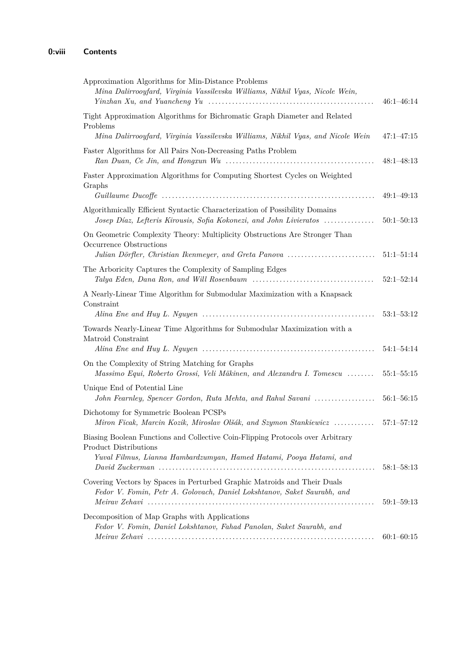| Approximation Algorithms for Min-Distance Problems<br>Mina Dalirrooyfard, Virginia Vassilevska Williams, Nikhil Vyas, Nicole Wein,                                                     | $46:1 - 46:14$ |
|----------------------------------------------------------------------------------------------------------------------------------------------------------------------------------------|----------------|
| Tight Approximation Algorithms for Bichromatic Graph Diameter and Related<br>Problems<br>Mina Dalirrooyfard, Virginia Vassilevska Williams, Nikhil Vyas, and Nicole Wein               | $47:1 - 47:15$ |
| Faster Algorithms for All Pairs Non-Decreasing Paths Problem                                                                                                                           | $48:1 - 48:13$ |
| Faster Approximation Algorithms for Computing Shortest Cycles on Weighted<br>Graphs                                                                                                    | $49:1 - 49:13$ |
| Algorithmically Efficient Syntactic Characterization of Possibility Domains<br>Josep Díaz, Lefteris Kirousis, Sofia Kokonezi, and John Livieratos                                      | $50:1 - 50:13$ |
| On Geometric Complexity Theory: Multiplicity Obstructions Are Stronger Than<br>Occurrence Obstructions<br>Julian Dörfler, Christian Ikenmeyer, and Greta Panova                        | $51:1 - 51:14$ |
| The Arboricity Captures the Complexity of Sampling Edges                                                                                                                               | $52:1 - 52:14$ |
| A Nearly-Linear Time Algorithm for Submodular Maximization with a Knapsack<br>Constraint                                                                                               | $53:1 - 53:12$ |
| Towards Nearly-Linear Time Algorithms for Submodular Maximization with a<br>Matroid Constraint                                                                                         | $54:1 - 54:14$ |
| On the Complexity of String Matching for Graphs<br>Massimo Equi, Roberto Grossi, Veli Mäkinen, and Alexandru I. Tomescu                                                                | $55:1 - 55:15$ |
| Unique End of Potential Line<br>John Fearnley, Spencer Gordon, Ruta Mehta, and Rahul Savani                                                                                            | $56:1 - 56:15$ |
| Dichotomy for Symmetric Boolean PCSPs<br>Miron Ficak, Marcin Kozik, Miroslav Olšák, and Szymon Stankiewicz  57:1–57:12                                                                 |                |
| Biasing Boolean Functions and Collective Coin-Flipping Protocols over Arbitrary<br><b>Product Distributions</b><br>Yuval Filmus, Lianna Hambardzumyan, Hamed Hatami, Pooya Hatami, and | $58:1 - 58:13$ |
| Covering Vectors by Spaces in Perturbed Graphic Matroids and Their Duals<br>Fedor V. Fomin, Petr A. Golovach, Daniel Lokshtanov, Saket Saurabh, and                                    | $59:1 - 59:13$ |
| Decomposition of Map Graphs with Applications<br>Fedor V. Fomin, Daniel Lokshtanov, Fahad Panolan, Saket Saurabh, and                                                                  | $60:1 - 60:15$ |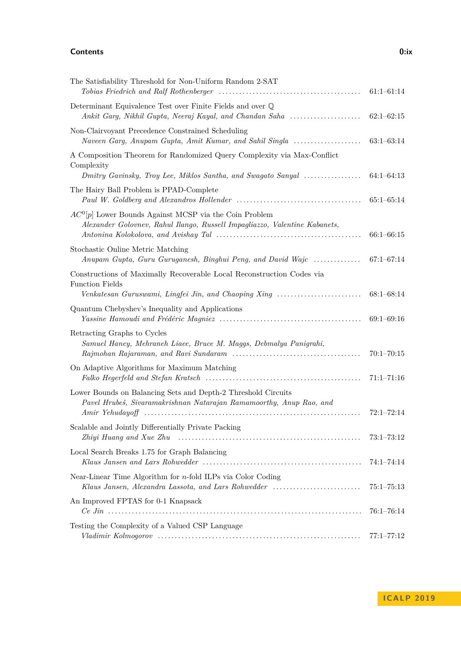# **Contents 0:ix**

The Satisfiability Threshold for Non-Uniform Random 2-SAT

Determinant Equivalence Test over Finite Fields and over Q

Non-Clairvoyant Precedence Constrained Scheduling

| e Satisfiability Threshold for Non-Uniform Random 2-SAT<br>Tobias Friedrich and Ralf Rothenberger $\ldots \ldots \ldots \ldots \ldots \ldots \ldots \ldots \ldots \ldots \ldots \ldots \qquad 61:1-61:14$ |  |
|-----------------------------------------------------------------------------------------------------------------------------------------------------------------------------------------------------------|--|
| terminant Equivalence Test over Finite Fields and over $\mathbb Q$                                                                                                                                        |  |
| n-Clairvoyant Precedence Constrained Scheduling                                                                                                                                                           |  |

| A Composition Theorem for Randomized Query Complexity via Max-Conflict<br>Complexity                                                   |                |
|----------------------------------------------------------------------------------------------------------------------------------------|----------------|
| Dmitry Gavinsky, Troy Lee, Miklos Santha, and Swagato Sanyal                                                                           | $64:1-64:13$   |
| The Hairy Ball Problem is PPAD-Complete                                                                                                | $65:1-65:14$   |
| $AC^0[p]$ Lower Bounds Against MCSP via the Coin Problem<br>Alexander Golovnev, Rahul Ilango, Russell Impagliazzo, Valentine Kabanets, | $66:1 - 66:15$ |
| Stochastic Online Metric Matching<br>Anupam Gupta, Guru Guruganesh, Binghui Peng, and David Wajc                                       | $67:1 - 67:14$ |
| Constructions of Maximally Recoverable Local Reconstruction Codes via<br><b>Function Fields</b>                                        |                |
|                                                                                                                                        | $68:1 - 68:14$ |
| Quantum Chebyshev's Inequality and Applications                                                                                        | $69:1 - 69:16$ |
| Retracting Graphs to Cycles<br>Samuel Haney, Mehraneh Liaee, Bruce M. Maggs, Debmalya Panigrahi,                                       | $70:1 - 70:15$ |
| On Adaptive Algorithms for Maximum Matching                                                                                            | $71:1 - 71:16$ |
| Lower Bounds on Balancing Sets and Depth-2 Threshold Circuits<br>Pavel Hrubeš, Sivaramakrishnan Natarajan Ramamoorthy, Anup Rao, and   | $72:1 - 72:14$ |
| Scalable and Jointly Differentially Private Packing                                                                                    | $73:1 - 73:12$ |
| Local Search Breaks 1.75 for Graph Balancing                                                                                           | $74:1 - 74:14$ |
| Near-Linear Time Algorithm for $n$ -fold ILPs via Color Coding<br>Klaus Jansen, Alexandra Lassota, and Lars Rohwedder                  | $75:1 - 75:13$ |
| An Improved FPTAS for 0-1 Knapsack                                                                                                     | $76:1 - 76:14$ |
| Testing the Complexity of a Valued CSP Language                                                                                        | $77:1 - 77:12$ |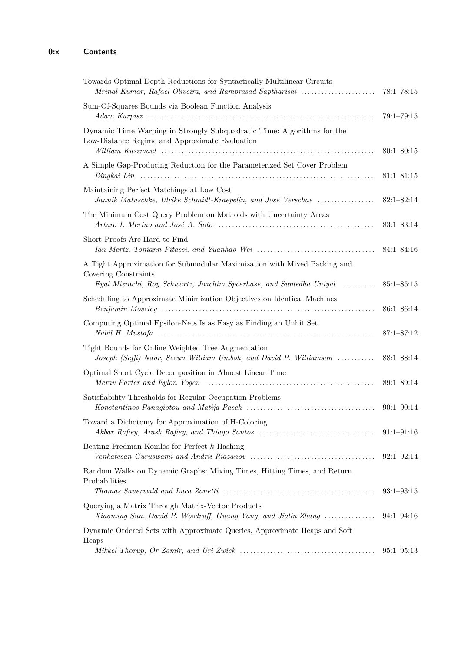| Towards Optimal Depth Reductions for Syntactically Multilinear Circuits<br>Mrinal Kumar, Rafael Oliveira, and Ramprasad Saptharishi | $78:1 - 78:15$ |
|-------------------------------------------------------------------------------------------------------------------------------------|----------------|
| Sum-Of-Squares Bounds via Boolean Function Analysis                                                                                 | $79:1 - 79:15$ |
|                                                                                                                                     |                |
| Dynamic Time Warping in Strongly Subquadratic Time: Algorithms for the<br>Low-Distance Regime and Approximate Evaluation            | $80:1 - 80:15$ |
| A Simple Gap-Producing Reduction for the Parameterized Set Cover Problem                                                            | $81:1 - 81:15$ |
| Maintaining Perfect Matchings at Low Cost<br>Jannik Matuschke, Ulrike Schmidt-Kraepelin, and José Verschae                          | $82:1 - 82:14$ |
| The Minimum Cost Query Problem on Matroids with Uncertainty Areas                                                                   | $83:1 - 83:14$ |
| Short Proofs Are Hard to Find                                                                                                       | $84:1 - 84:16$ |
| A Tight Approximation for Submodular Maximization with Mixed Packing and<br>Covering Constraints                                    |                |
| Eyal Mizrachi, Roy Schwartz, Joachim Spoerhase, and Sumedha Uniyal                                                                  | $85:1 - 85:15$ |
| Scheduling to Approximate Minimization Objectives on Identical Machines                                                             | $86:1 - 86:14$ |
| Computing Optimal Epsilon-Nets Is as Easy as Finding an Unhit Set                                                                   | $87:1 - 87:12$ |
| Tight Bounds for Online Weighted Tree Augmentation<br>Joseph (Seffi) Naor, Seeun William Umboh, and David P. Williamson             | $88:1 - 88:14$ |
| Optimal Short Cycle Decomposition in Almost Linear Time                                                                             | $89:1 - 89:14$ |
| Satisfiability Thresholds for Regular Occupation Problems                                                                           | $90:1 - 90:14$ |
| Toward a Dichotomy for Approximation of H-Coloring<br>Akbar Rafiey, Arash Rafiey, and Thiago Santos                                 | $91:1 - 91:16$ |
| Beating Fredman-Komlós for Perfect $k$ -Hashing                                                                                     | $92:1 - 92:14$ |
| Random Walks on Dynamic Graphs: Mixing Times, Hitting Times, and Return<br>Probabilities                                            | $93:1 - 93:15$ |
| Querying a Matrix Through Matrix-Vector Products<br>Xiaoming Sun, David P. Woodruff, Guang Yang, and Jialin Zhang                   | $94:1 - 94:16$ |
| Dynamic Ordered Sets with Approximate Queries, Approximate Heaps and Soft                                                           |                |
| Heaps                                                                                                                               | $95:1 - 95:13$ |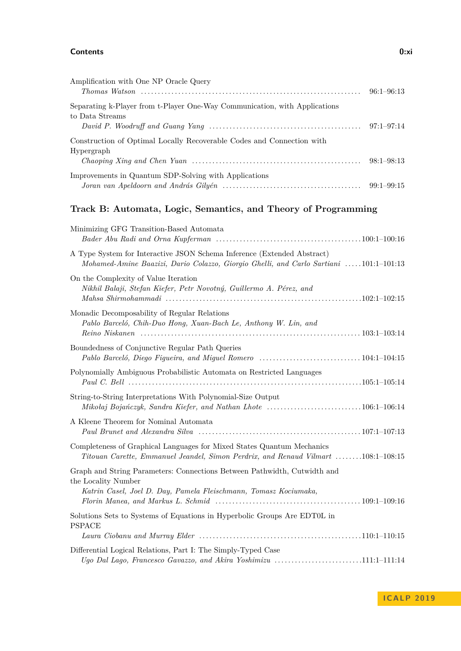#### **Contents 0:xi**

| Amplification with One NP Oracle Query                                     | $96:1 - 96:13$ |
|----------------------------------------------------------------------------|----------------|
| Separating k-Player from t-Player One-Way Communication, with Applications |                |
| to Data Streams                                                            |                |
|                                                                            |                |
| Construction of Optimal Locally Recoverable Codes and Connection with      |                |
| Hypergraph                                                                 |                |
|                                                                            |                |
| Improvements in Quantum SDP-Solving with Applications                      |                |
|                                                                            |                |

# **Track B: Automata, Logic, Semantics, and Theory of Programming**

| Minimizing GFG Transition-Based Automata                                                                                                                                                                                                                                                                            |
|---------------------------------------------------------------------------------------------------------------------------------------------------------------------------------------------------------------------------------------------------------------------------------------------------------------------|
| A Type System for Interactive JSON Schema Inference (Extended Abstract)<br>Mohamed-Amine Baazizi, Dario Colazzo, Giorgio Ghelli, and Carlo Sartiani 101:1-101:13                                                                                                                                                    |
| On the Complexity of Value Iteration<br>Nikhil Balaji, Stefan Kiefer, Petr Novotný, Guillermo A. Pérez, and                                                                                                                                                                                                         |
| Monadic Decomposability of Regular Relations<br>Pablo Barceló, Chih-Duo Hong, Xuan-Bach Le, Anthony W. Lin, and                                                                                                                                                                                                     |
| Boundedness of Conjunctive Regular Path Queries                                                                                                                                                                                                                                                                     |
| Polynomially Ambiguous Probabilistic Automata on Restricted Languages                                                                                                                                                                                                                                               |
| String-to-String Interpretations With Polynomial-Size Output<br>Mikolaj Bojańczyk, Sandra Kiefer, and Nathan Lhote 106:1-106:14                                                                                                                                                                                     |
| A Kleene Theorem for Nominal Automata                                                                                                                                                                                                                                                                               |
| Completeness of Graphical Languages for Mixed States Quantum Mechanics<br>Titouan Carette, Emmanuel Jeandel, Simon Perdrix, and Renaud Vilmart 108:1-108:15                                                                                                                                                         |
| Graph and String Parameters: Connections Between Pathwidth, Cutwidth and<br>the Locality Number<br>Katrin Casel, Joel D. Day, Pamela Fleischmann, Tomasz Kociumaka,<br>Florin Manea, and Markus L. Schmid $\ldots \ldots \ldots \ldots \ldots \ldots \ldots \ldots \ldots \ldots \ldots \ldots \ldots 109:1-109:16$ |
| Solutions Sets to Systems of Equations in Hyperbolic Groups Are EDT0L in<br><b>PSPACE</b>                                                                                                                                                                                                                           |
| Differential Logical Relations, Part I: The Simply-Typed Case<br>Ugo Dal Lago, Francesco Gavazzo, and Akira Yoshimizu 111:1-111:14                                                                                                                                                                                  |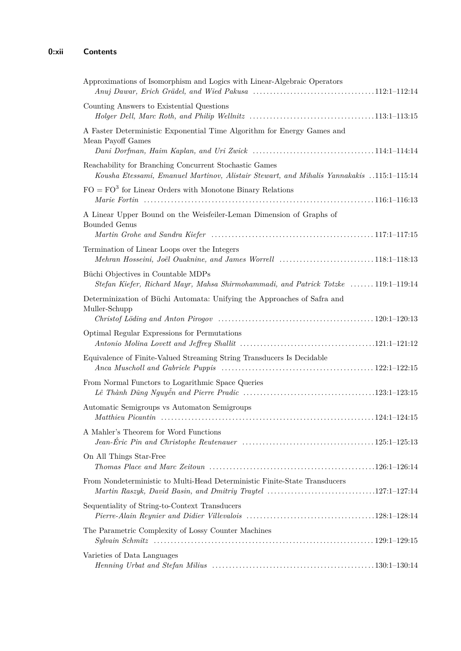| Approximations of Isomorphism and Logics with Linear-Algebraic Operators                                                                                                   |
|----------------------------------------------------------------------------------------------------------------------------------------------------------------------------|
| Counting Answers to Existential Questions                                                                                                                                  |
| A Faster Deterministic Exponential Time Algorithm for Energy Games and<br>Mean Payoff Games                                                                                |
| Reachability for Branching Concurrent Stochastic Games<br>Kousha Etessami, Emanuel Martinov, Alistair Stewart, and Mihalis Yannakakis 115:1-115:14                         |
| $FO = FO3$ for Linear Orders with Monotone Binary Relations                                                                                                                |
| A Linear Upper Bound on the Weisfeiler-Leman Dimension of Graphs of<br><b>Bounded Genus</b>                                                                                |
| Termination of Linear Loops over the Integers<br>Mehran Hosseini, Joël Ouaknine, and James Worrell 118:1-118:13                                                            |
| Büchi Objectives in Countable MDPs<br>Stefan Kiefer, Richard Mayr, Mahsa Shirmohammadi, and Patrick Totzke  119:1-119:14                                                   |
| Determinization of Büchi Automata: Unifying the Approaches of Safra and<br>Muller-Schupp                                                                                   |
| Optimal Regular Expressions for Permutations                                                                                                                               |
| Equivalence of Finite-Valued Streaming String Transducers Is Decidable                                                                                                     |
| From Normal Functors to Logarithmic Space Queries                                                                                                                          |
| Automatic Semigroups vs Automaton Semigroups                                                                                                                               |
| A Mahler's Theorem for Word Functions                                                                                                                                      |
| On All Things Star-Free<br>Thomas Place and Marc Zeitoun $\ldots \ldots \ldots \ldots \ldots \ldots \ldots \ldots \ldots \ldots \ldots \ldots \ldots 126:1-126:14$         |
| From Nondeterministic to Multi-Head Deterministic Finite-State Transducers                                                                                                 |
| Sequentiality of String-to-Context Transducers                                                                                                                             |
| The Parametric Complexity of Lossy Counter Machines                                                                                                                        |
| Varieties of Data Languages<br>$Henning$ Urbat and Stefan Milius $\ldots \ldots \ldots \ldots \ldots \ldots \ldots \ldots \ldots \ldots \ldots \ldots \ldots 130:1-130:14$ |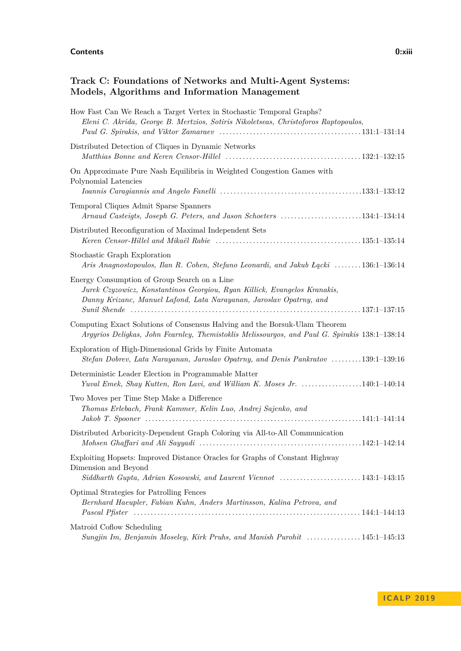#### **Contents 0:xiii**

# **Track C: Foundations of Networks and Multi-Agent Systems: Models, Algorithms and Information Management**

| How Fast Can We Reach a Target Vertex in Stochastic Temporal Graphs?<br>Eleni C. Akrida, George B. Mertzios, Sotiris Nikoletseas, Christoforos Raptopoulos,                                      |
|--------------------------------------------------------------------------------------------------------------------------------------------------------------------------------------------------|
| Distributed Detection of Cliques in Dynamic Networks                                                                                                                                             |
| On Approximate Pure Nash Equilibria in Weighted Congestion Games with<br>Polynomial Latencies                                                                                                    |
| Temporal Cliques Admit Sparse Spanners<br>Arnaud Casteigts, Joseph G. Peters, and Jason Schoeters 134:1-134:14                                                                                   |
| Distributed Reconfiguration of Maximal Independent Sets                                                                                                                                          |
| Stochastic Graph Exploration<br>Aris Anagnostopoulos, Ilan R. Cohen, Stefano Leonardi, and Jakub Eqcki 136:1-136:14                                                                              |
| Energy Consumption of Group Search on a Line<br>Jurek Czyzowicz, Konstantinos Georgiou, Ryan Killick, Evangelos Kranakis,<br>Danny Krizanc, Manuel Lafond, Lata Narayanan, Jaroslav Opatrny, and |
| Computing Exact Solutions of Consensus Halving and the Borsuk-Ulam Theorem<br>Argyrios Deligkas, John Fearnley, Themistoklis Melissourgos, and Paul G. Spirakis 138:1-138:14                     |
| Exploration of High-Dimensional Grids by Finite Automata<br>Stefan Dobrev, Lata Narayanan, Jaroslav Opatrny, and Denis Pankratov 139:1-139:16                                                    |
| Deterministic Leader Election in Programmable Matter<br>Yuval Emek, Shay Kutten, Ron Lavi, and William K. Moses Jr. 140:1-140:14                                                                 |
| Two Moves per Time Step Make a Difference<br>Thomas Erlebach, Frank Kammer, Kelin Luo, Andrej Sajenko, and                                                                                       |
| Distributed Arboricity-Dependent Graph Coloring via All-to-All Communication                                                                                                                     |
| Exploiting Hopsets: Improved Distance Oracles for Graphs of Constant Highway<br>Dimension and Beyond<br>Siddharth Gupta, Adrian Kosowski, and Laurent Viennot 143:1-143:15                       |
| Optimal Strategies for Patrolling Fences<br>Bernhard Haeupler, Fabian Kuhn, Anders Martinsson, Kalina Petrova, and                                                                               |
| Matroid Coflow Scheduling<br>Sungjin Im, Benjamin Moseley, Kirk Pruhs, and Manish Purohit 145:1-145:13                                                                                           |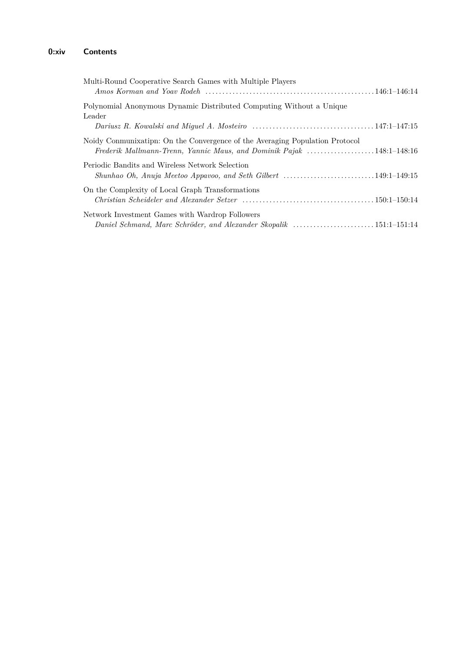# **0:xiv Contents**

| Multi-Round Cooperative Search Games with Multiple Players                                                                                           |  |
|------------------------------------------------------------------------------------------------------------------------------------------------------|--|
| Polynomial Anonymous Dynamic Distributed Computing Without a Unique<br>Leader                                                                        |  |
|                                                                                                                                                      |  |
| Noidy Conmunixatipn: On the Convergence of the Averaging Population Protocol<br>Frederik Mallmann-Trenn, Yannic Maus, and Dominik Pajak 148:1-148:16 |  |
| Periodic Bandits and Wireless Network Selection<br>Shunhao Oh, Anuja Meetoo Appavoo, and Seth Gilbert 149:1-149:15                                   |  |
| On the Complexity of Local Graph Transformations                                                                                                     |  |
| Network Investment Games with Wardrop Followers<br>Daniel Schmand, Marc Schröder, and Alexander Skopalik 151:1-151:14                                |  |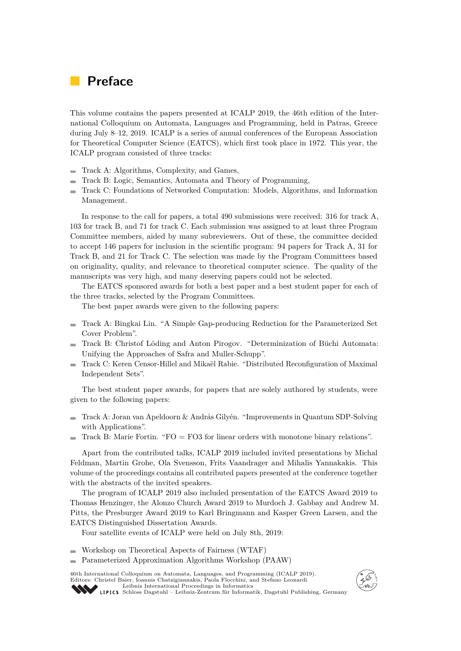# **Preface**

This volume contains the papers presented at ICALP 2019, the 46th edition of the International Colloquium on Automata, Languages and Programming, held in Patras, Greece during July 8–12, 2019. ICALP is a series of annual conferences of the European Association for Theoretical Computer Science (EATCS), which first took place in 1972. This year, the ICALP program consisted of three tracks:

- Track A: Algorithms, Complexity, and Games,  $\mathcal{L}_{\mathcal{A}}$
- Track B: Logic, Semantics, Automata and Theory of Programming,  $\rightarrow$
- Track C: Foundations of Networked Computation: Models, Algorithms, and Information  $\blacksquare$ Management.

In response to the call for papers, a total 490 submissions were received: 316 for track A, 103 for track B, and 71 for track C. Each submission was assigned to at least three Program Committee members, aided by many subreviewers. Out of these, the committee decided to accept 146 papers for inclusion in the scientific program: 94 papers for Track A, 31 for Track B, and 21 for Track C. The selection was made by the Program Committees based on originality, quality, and relevance to theoretical computer science. The quality of the manuscripts was very high, and many deserving papers could not be selected.

The EATCS sponsored awards for both a best paper and a best student paper for each of the three tracks, selected by the Program Committees.

The best paper awards were given to the following papers:

- Track A: Bingkai Lin. "A Simple Gap-producing Reduction for the Parameterized Set Cover Problem".
- Track B: Christof Löding and Anton Pirogov. "Determinization of Büchi Automata: Unifying the Approaches of Safra and Muller-Schupp".
- Track C: Keren Censor-Hillel and Mikaël Rabie. "Distributed Reconfiguration of Maximal  $\blacksquare$ Independent Sets".

The best student paper awards, for papers that are solely authored by students, were given to the following papers:

- Track A: Joran van Apeldoorn & András Gilyén. "Improvements in Quantum SDP-Solving  $\overline{\phantom{0}}$ with Applications".
- Track B: Marie Fortin. "FO = FO3 for linear orders with monotone binary relations".

Apart from the contributed talks, ICALP 2019 included invited presentations by Michal Feldman, Martin Grohe, Ola Svensson, Frits Vaandrager and Mihalis Yannakakis. This volume of the proceedings contains all contributed papers presented at the conference together with the abstracts of the invited speakers.

The program of ICALP 2019 also included presentation of the EATCS Award 2019 to Thomas Henzinger, the Alonzo Church Award 2019 to Murdoch J. Gabbay and Andrew M. Pitts, the Presburger Award 2019 to Karl Bringmann and Kasper Green Larsen, and the EATCS Distinguished Dissertation Awards.

Four satellite events of ICALP were held on July 8th, 2019:

- Workshop on Theoretical Aspects of Fairness (WTAF)
- $\rightarrow$ Parameterized Approximation Algorithms Workshop (PAAW)

46th International Colloquium on Automata, Languages, and Programming (ICALP 2019). Editors: Christel Baier, Ioannis Chatzigiannakis, Paola Flocchini, and Stefano Leonardi [Leibniz International Proceedings in Informatics](https://www.dagstuhl.de/lipics/)



[Schloss Dagstuhl – Leibniz-Zentrum für Informatik, Dagstuhl Publishing, Germany](https://www.dagstuhl.de)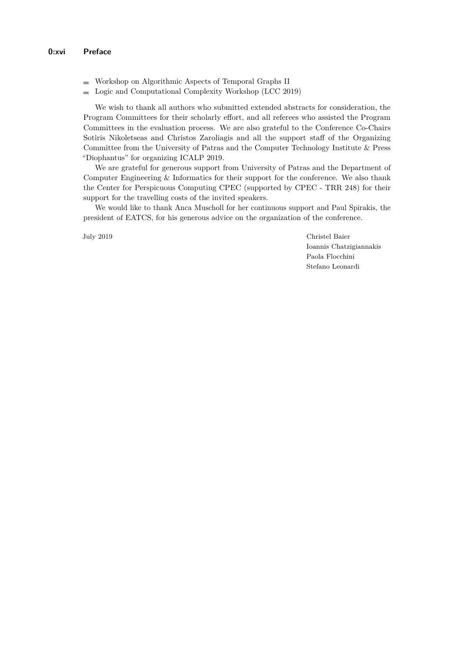- Workshop on Algorithmic Aspects of Temporal Graphs II
- **Logic and Computational Complexity Workshop (LCC 2019)**

We wish to thank all authors who submitted extended abstracts for consideration, the Program Committees for their scholarly effort, and all referees who assisted the Program Committees in the evaluation process. We are also grateful to the Conference Co-Chairs Sotiris Nikoletseas and Christos Zaroliagis and all the support staff of the Organizing Committee from the University of Patras and the Computer Technology Institute & Press "Diophantus" for organizing ICALP 2019.

We are grateful for generous support from University of Patras and the Department of Computer Engineering & Informatics for their support for the conference. We also thank the Center for Perspicuous Computing CPEC (supported by CPEC - TRR 248) for their support for the travelling costs of the invited speakers.

We would like to thank Anca Muscholl for her continuous support and Paul Spirakis, the president of EATCS, for his generous advice on the organization of the conference.

July 2019 Christel Baier Ioannis Chatzigiannakis Paola Flocchini Stefano Leonardi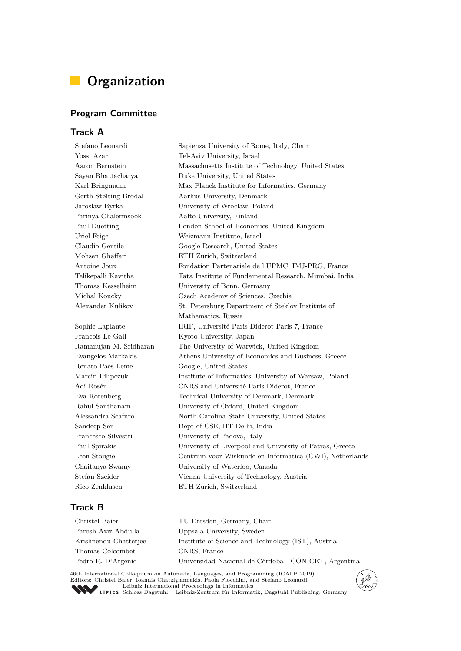# **Organization**

# **Program Committee**

## **Track A**

Stefano Leonardi Sapienza University of Rome, Italy, Chair Yossi Azar Tel-Aviv University, Israel Aaron Bernstein Massachusetts Institute of Technology, United States Sayan Bhattacharya Duke University, United States Karl Bringmann Max Planck Institute for Informatics, Germany Gerth Stølting Brodal Aarhus University, Denmark Jaroslaw Byrka University of Wroclaw, Poland Parinya Chalermsook Aalto University, Finland Paul Duetting London School of Economics, United Kingdom Uriel Feige Weizmann Institute, Israel Claudio Gentile Google Research, United States Mohsen Ghaffari ETH Zurich, Switzerland Antoine Joux Fondation Partenariale de l'UPMC, IMJ-PRG, France Telikepalli Kavitha Tata Institute of Fundamental Research, Mumbai, India Thomas Kesselheim University of Bonn, Germany Michal Koucky Czech Academy of Sciences, Czechia Alexander Kulikov St. Petersburg Department of Steklov Institute of Mathematics, Russia Sophie Laplante IRIF, Université Paris Diderot Paris 7, France Francois Le Gall Kyoto University, Japan Ramanujan M. Sridharan The University of Warwick, United Kingdom Evangelos Markakis Athens University of Economics and Business, Greece Renato Paes Leme Google, United States Marcin Pilipczuk Institute of Informatics, University of Warsaw, Poland Adi Rosén CNRS and Université Paris Diderot, France Eva Rotenberg Technical University of Denmark, Denmark Rahul Santhanam University of Oxford, United Kingdom Alessandra Scafuro North Carolina State University, United States Sandeep Sen Dept of CSE, IIT Delhi, India Francesco Silvestri University of Padova, Italy Paul Spirakis University of Liverpool and University of Patras, Greece Leen Stougie Centrum voor Wiskunde en Informatica (CWI), Netherlands Chaitanya Swamy University of Waterloo, Canada Stefan Szeider Vienna University of Technology, Austria Rico Zenklusen ETH Zurich, Switzerland

# **Track B**

| Christel Baier        | TU Dresden, Germany, Chair                                 |
|-----------------------|------------------------------------------------------------|
| Parosh Aziz Abdulla   | Uppsala University, Sweden                                 |
| Krishnendu Chatterjee | Institute of Science and Technology <i>(IST)</i> , Austria |
| Thomas Colcombet      | CNRS, France                                               |
| Pedro R. D'Argenio    | Universidad Nacional de Córdoba - CONICET, Argentina       |
|                       |                                                            |

46th International Colloquium on Automata, Languages, and Programming (ICALP 2019). Editors: Christel Baier, Ioannis Chatzigiannakis, Paola Flocchini, and Stefano Leonardi [Leibniz International Proceedings in Informatics](https://www.dagstuhl.de/lipics/) [Schloss Dagstuhl – Leibniz-Zentrum für Informatik, Dagstuhl Publishing, Germany](https://www.dagstuhl.de)

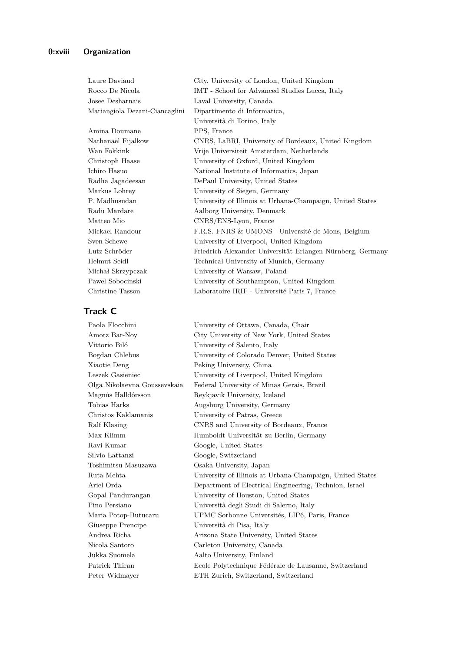| Laure Daviaud                  | City, University of London, United Kingdom                 |
|--------------------------------|------------------------------------------------------------|
| Rocco De Nicola                | IMT - School for Advanced Studies Lucca, Italy             |
| Josee Desharnais               | Laval University, Canada                                   |
| Mariangiola Dezani-Ciancaglini | Dipartimento di Informatica,                               |
|                                | Università di Torino, Italy                                |
| Amina Doumane                  | PPS, France                                                |
| Nathanaël Fijalkow             | CNRS, LaBRI, University of Bordeaux, United Kingdom        |
| Wan Fokkink                    | Vrije Universiteit Amsterdam, Netherlands                  |
| Christoph Haase                | University of Oxford, United Kingdom                       |
| Ichiro Hasuo                   | National Institute of Informatics, Japan                   |
| Radha Jagadeesan               | DePaul University, United States                           |
| Markus Lohrey                  | University of Siegen, Germany                              |
| P. Madhusudan                  | University of Illinois at Urbana-Champaign, United States  |
| Radu Mardare                   | Aalborg University, Denmark                                |
| Matteo Mio                     | CNRS/ENS-Lyon, France                                      |
| Mickael Randour                | F.R.S.-FNRS & UMONS - Université de Mons, Belgium          |
| Sven Schewe                    | University of Liverpool, United Kingdom                    |
| Lutz Schröder                  | Friedrich-Alexander-Universität Erlangen-Nürnberg, Germany |
| Helmut Seidl                   | Technical University of Munich, Germany                    |
| Michał Skrzypczak              | University of Warsaw, Poland                               |
| Pawel Sobocinski               | University of Southampton, United Kingdom                  |
| Christine Tasson               | Laboratoire IRIF - Université Paris 7, France              |

## **Track C**

Paola Flocchini University of Ottawa, Canada, Chair Vittorio Biló University of Salento, Italy Xiaotie Deng Peking University, China Magnús Halldórsson Reykjavik University, Iceland Tobias Harks Augsburg University, Germany Christos Kaklamanis University of Patras, Greece Ravi Kumar Google, United States Silvio Lattanzi Google, Switzerland Toshimitsu Masuzawa Osaka University, Japan Gopal Pandurangan University of Houston, United States Giuseppe Prencipe Università di Pisa, Italy Nicola Santoro Carleton University, Canada Jukka Suomela Aalto University, Finland

Amotz Bar-Noy City University of New York, United States Bogdan Chlebus University of Colorado Denver, United States Leszek Gasieniec University of Liverpool, United Kingdom Olga Nikolaevna Goussevskaia Federal University of Minas Gerais, Brazil Ralf Klasing CNRS and University of Bordeaux, France Max Klimm Humboldt Universität zu Berlin, Germany Ruta Mehta University of Illinois at Urbana-Champaign, United States Ariel Orda Department of Electrical Engineering, Technion, Israel Pino Persiano Università degli Studi di Salerno, Italy Maria Potop-Butucaru UPMC Sorbonne Universités, LIP6, Paris, France Andrea Richa Arizona State University, United States Patrick Thiran Ecole Polytechnique Fédérale de Lausanne, Switzerland Peter Widmayer ETH Zurich, Switzerland, Switzerland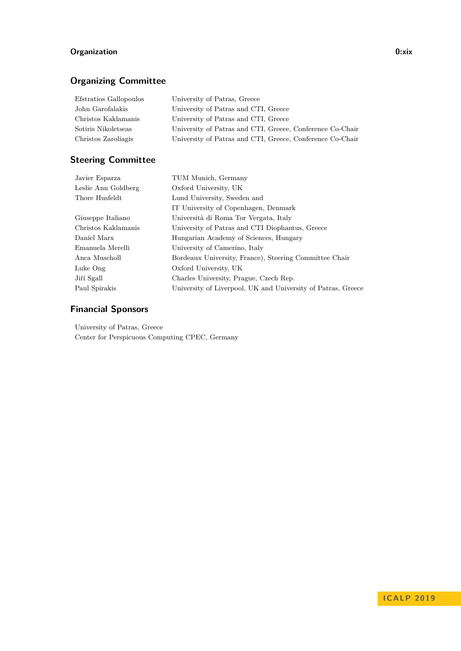# **Organization 0:xix**

# **Organizing Committee**

| University of Patras, Greece                              |
|-----------------------------------------------------------|
| University of Patras and CTI, Greece                      |
| University of Patras and CTI, Greece                      |
| University of Patras and CTI, Greece, Conference Co-Chair |
| University of Patras and CTI, Greece, Conference Co-Chair |
|                                                           |

# **Steering Committee**

| Javier Esparza      | TUM Munich, Germany                                          |
|---------------------|--------------------------------------------------------------|
| Leslie Ann Goldberg | Oxford University, UK                                        |
| Thore Husfeldt      | Lund University, Sweden and                                  |
|                     | IT University of Copenhagen, Denmark                         |
| Giuseppe Italiano   | Università di Roma Tor Vergata, Italy                        |
| Christos Kaklamanis | University of Patras and CTI Diophantus, Greece              |
| Daniel Marx         | Hungarian Academy of Sciences, Hungary                       |
| Emanuela Merelli    | University of Camerino, Italy                                |
| Anca Muscholl       | Bordeaux University, France), Steering Committee Chair       |
| Luke Ong            | Oxford University, UK                                        |
| Jiří Sgall          | Charles University, Prague, Czech Rep.                       |
| Paul Spirakis       | University of Liverpool, UK and University of Patras, Greece |

# **Financial Sponsors**

University of Patras, Greece Center for Perspicuous Computing CPEC, Germany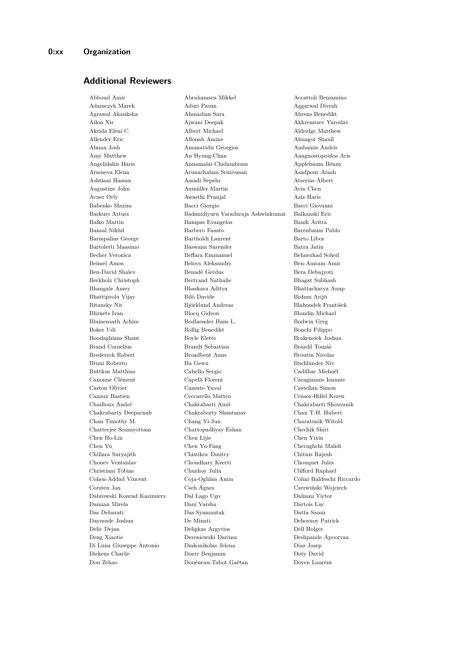## **Additional Reviewers**

Abboud Amir Abrahamsen Mikkel Accattoli Beniamino Adamczyk Marek Aduri Pavan Aggarwal Divesh Agrawal Akanksha Ahmadian Sara Ahrens Benedikt Ailon Nir Ajwani Deepak Akhremtsev Yaroslav Akrida Eleni C. Albert Michael Aldridge Matthew Allender Eric Allouah Amine Almagor Shaull Alman Josh Amanatidis Georgios Ambainis Andris Amy Matthew An Hyung-Chan Anagnostopoulos Aris Angelidakis Haris Annamalai Chidambram Applebaum Benny Arseneva Elena Arunachalam Srinivasan Asadpour Arash Ashtiani Hassan Assadi Sepehr Atserias Albert Augustine John Aumüller Martin Avin Chen Avner Orly Awasthi Pranjal Aziz Haris Babenko Maxim Bacci Giorgio Bacci Giovanni Backurs Arturs Badanidiyuru Varadaraja Ashwinkumar Balkanski Eric Balko Martin Bampas Evangelos Banik Aritra Bansal Nikhil Barbero Fausto Barenbaum Pablo Barmpalias George Bartholdi Laurent Barto Libor Bartoletti Massimo Baswana Surender Batra Jatin Becher Veronica Beffara Emmanuel Behnezhad Soheil Beimel Amos Belovs Aleksandrs Ben-Amram Amir Ben-David Shalev Benadè Gerdus Bera Debajyoti Berkholz Christoph Bertrand Nathalie Bhagat Subhash Bhangale Amey Bhaskara Aditya Bhattacharya Anup Bhattiprolu Vijay Bilò Davide Bishnu Arijit Bitansky Nir Björklund Andreas Blahoudek František Bliznets Ivan Blocq Gideon Blondin Michael Blumensath Achim Bodlaender Hans L. Bodwin Greg Boker Udi Bollig Benedikt Bonchi Filippo Boodaghians Shant Boyle Elette Brakensiek Joshua Brakensiek Joshua Brakensiek Joshua Brakensiek Joshua Brakensiek Joshua Brakensiek Joshua Brakensiek Joshua Brakensiek Joshua Brakensiek Joshua Brakensiek Joshua Brakensiek Brand Cornelius Brandt Sebastian Brázdil Tomáš Bredereck Robert Broadbent Anne Broutin Nicolas Bruni Roberto Bu Gewu Buchbinder Niv Buttkus Matthias Cabello Sergio Cadilhac Michaël Canonne Clément Capelli Florent Caragiannis Ioannis Carton Olivier Cassuto Yuval Castellan Simon Cazaux Bastien Ceccarello Matteo Censor-Hillel Keren Chailloux André Chakrabarti Amit Chakrabarti Shouvanik Chakrabarty Deeparnab Chakraborty Shantanav Chan T-H. Hubert Chan Timothy M. Chang Yi-Jun Charatonik Witold Chatterjee Soumyottam Chattopadhyay Eshan Chechik Shiri Chen Ho-Lin Chen Lijie Chen Yixin Chen Yu Chen Yu-Fang Cheraghchi Mahdi Chillara Suryajith Chistikov Dmitry Chitnis Rajesh Chonev Ventsislav Choudhary Keerti Chouquet Jules Christiani Tobias Chuzhoy Julia Clifford Raphael Cohen-Addad Vincent Coja-Oghlan Amin Colini Baldeschi Riccardo Corsten Jan Cseh Ágnes Czerwiński Wojciech Dabrowski Konrad Kazimierz Dal Lago Ugo Dalmau Victor Damian Mirela Dani Varsha Dartois Luc Das Debarati Das Syamantak Datta Samir Daymude Joshua De Minati Dehornoy Patrick Delic Dejan Deligkas Argyrios Dell Holger Deng Xiaotie Dereniowski Dariusz Deshpande Apoorvaa Di Luna Giuseppe Antonio Diakonikolas Jelena Diaz Josep Dickens Charlie Doerr Benjamin Doty David Dou Zehao Douéneau-Tabot Gaëtan Doyen Laurent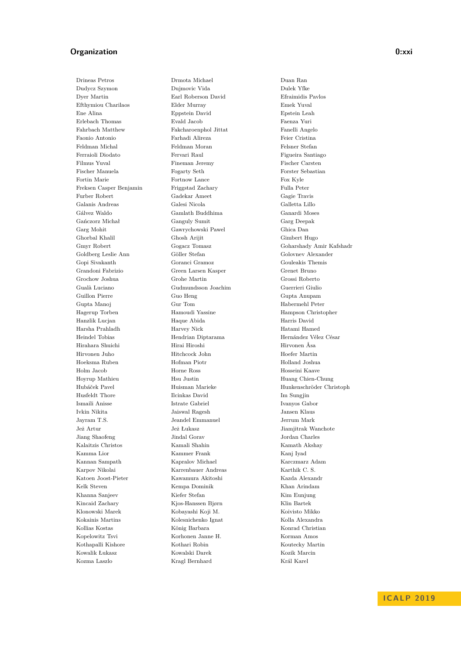#### **Organization 0:xxi**

Drineas Petros Drmota Michael Duan Ran Dudycz Szymon Dujmovic Vida Dulek Yfke Dyer Martin Earl Roberson David Efraimidis Pavlos Efthymiou Charilaos Elder Murray Emek Yuval Ene Alina Eppstein David Epstein Leah Erlebach Thomas Evald Jacob Faenza Yuri Fahrbach Matthew Fakcharoenphol Jittat Fanelli Angelo Faonio Antonio Farhadi Alireza Feier Cristina Feldman Michal Feldman Moran Felsner Stefan Ferraioli Diodato Fervari Raul Figueira Santiago Filmus Yuval Fineman Jeremy Fischer Carsten Fischer Manuela Fogarty Seth Forster Sebastian Fortin Marie Fortnow Lance Fox Kyle Freksen Casper Benjamin Friggstad Zachary Fulla Peter Furber Robert Gadekar Ameet Gagie Travis Galanis Andreas Galesi Nicola Galletta Lillo Gálvez Waldo Gamlath Buddhima Ganardi Moses Gańczorz Michał Ganguly Sumit Garg Deepak Garg Mohit Gawrychowski Pawel Ghica Dan Ghorbal Khalil Ghosh Arijit Gimbert Hugo Goldberg Leslie Ann Göller Stefan Golovnev Alexander Gopi Sivakanth Goranci Gramoz Gouleakis Themis Grandoni Fabrizio Green Larsen Kasper Grenet Bruno Grochow Joshua Grohe Martin Grossi Roberto Gualà Luciano Gudmundsson Joachim Guerrieri Giulio Guillon Pierre Guo Heng Gupta Anupam Gupta Manoj Gur Tom Habermehl Peter Hagerup Torben Hamoudi Yassine Hampson Christopher Hanzlik Lucjan Haque Abida Harris David Harsha Prahladh Harvey Nick Hatami Hamed Heindel Tobias Hendrian Diptarama Hernández Vélez César Hirahara Shuichi Hirai Hiroshi Hirvonen Åsa Hirvonen Juho Hitchcock John Hoefer Martin Hoeksma Ruben Hofman Piotr Holland Joshua Holm Jacob Horne Ross Hosseini Kaave Hoyrup Mathieu Hsu Justin Huang Chien-Chung Husfeldt Thore Ilcinkas David Im Sungjin Ismaili Anisse Istrate Gabriel Ivanyos Gabor Ivkin Nikita Jaiswal Ragesh Jansen Klaus Jayram T.S. Jeandel Emmanuel Jerrum Mark Jeż Artur Jeż Łukasz Jiamjitrak Wanchote Jiang Shaofeng Jindal Gorav Jordan Charles Kalaitzis Christos Kamali Shahin Kamath Akshay Kamma Lior Kammer Frank Kanj Iyad Kannan Sampath Kapralov Michael Karczmarz Adam Karpov Nikolai Karrenbauer Andreas Karthik C. S. Katoen Joost-Pieter Kawamura Akitoshi Kazda Alexandr Kelk Steven Kempa Dominik Khan Arindam Khanna Sanjeev Kiefer Stefan Kim Eunjung Kincaid Zachary Kjos-Hanssen Bjørn Klin Bartek Klonowski Marek Kobayashi Koji M. Koivisto Mikko Kokainis Martins Kolesnichenko Ignat Kolla Alexandra Kollias Kostas König Barbara Konrad Christian Kopelowitz Tsvi Korhonen Janne H. Korman Amos Kothapalli Kishore Kothari Robin Koutecky Martin Kowalik Łukasz Kowalski Darek Kozik Marcin Kozma Laszlo Kragl Bernhard Král Karel

Gmyr Robert Gogacz Tomasz Goharshady Amir Kafshadr Hubáček Pavel Huisman Marieke Hunkenschröder Christoph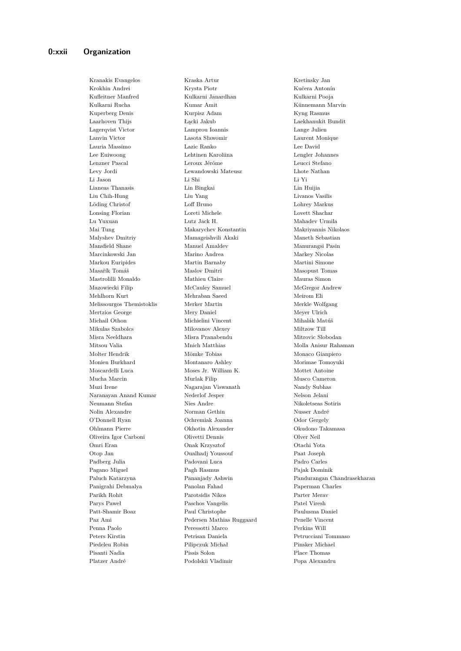Kranakis Evangelos Kraska Artur Kretinsky Jan

Krokhin Andrei Krysta Piotr Kučera Antonín Kufleitner Manfred Kulkarni Janardhan Kulkarni Pooja Kulkarni Rucha Kumar Amit Künnemann Marvin Kuperberg Denis Kurpisz Adam Kyng Rasmus Laarhoven Thijs Łącki Jakub Laekhanukit Bundit Lagerqvist Victor Lamprou Ioannis Lange Julien Lanvin Victor Lasota Sławomir Laurent Monique Lauria Massimo Lazic Ranko Lee David Lee Euiwoong Lehtinen Karoliina Lengler Johannes Lenzner Pascal Leroux Jérôme Leucci Stefano Levy Jordi Lewandowski Mateusz Lhote Nathan Li Jason Li Shi Li Yi Lianeas Thanasis Lin Bingkai Lin Huijia Liu Chih-Hung Liu Yang Livanos Vasilis Löding Christof Loff Bruno Lohrey Markus Lonsing Florian Loreti Michele Lovett Shachar Lu Yuxuan Lutz Jack H. Mahadev Urmila Mai Tung Makarychev Konstantin Makriyannis Nikolaos Malyshev Dmitriy Mamageishvili Akaki Maneth Sebastian Mansfield Shane Manuel Amaldev Manurangsi Pasin Marcinkowski Jan Marino Andrea Markey Nicolas Markou Euripides Martin Barnaby Martini Simone Masařík Tomáš Maslov Dmitri Masopust Tomas Mastrolilli Monaldo Mathieu Claire Mauras Simon Mazowiecki Filip McCauley Samuel McGregor Andrew Mehlhorn Kurt Mehraban Saeed Meirom Eli Melissourgos Themistoklis Merker Martin Merkle Wolfgang Mertzios George Mery Daniel Meyer Ulrich Michail Othon Michielini Vincent Mihalák Matúš Mikulas Szabolcs Milovanov Alexey Miltzow Till Misra Neeldhara Misra Pranabendu Mitrovic Slobodan Mitsou Valia Mnich Matthias Molla Anisur Rahaman Molter Hendrik Mömke Tobias Monaco Gianpiero Monien Burkhard Montanaro Ashley Morimae Tomoyuki Moscardelli Luca Moses Jr. William K. Mottet Antoine Mucha Marcin Murlak Filip Musco Cameron Muzi Irene Nagarajan Viswanath Nandy Subhas Naranayan Anand Kumar Nederlof Jesper Nelson Jelani Neumann Stefan Nies Andre Nikoletseas Sotiris Nolin Alexandre Norman Gethin Nusser André O'Donnell Ryan Ochremiak Joanna Odor Gergely Ohlmann Pierre Okhotin Alexander Okudono Takamasa Oliveira Igor Carboni Olivetti Dennis Olver Neil Omri Eran Onak Krzysztof Otachi Yota Otop Jan Oualhadj Youssouf Paat Joseph Padberg Julia Padovani Luca Padro Carles Pagano Miguel Pagh Rasmus Pajak Dominik Panigrahi Debmalya Panolan Fahad Paperman Charles Parikh Rohit Parotsidis Nikos Parter Merav Parys Paweł Paschos Vangelis Patel Viresh Patt-Shamir Boaz Paul Christophe Paulusma Daniel Paz Ami Pedersen Mathias Ruggaard Penelle Vincent Penna Paolo Peressotti Marco Perkins Will Peters Kirstin Petrisan Daniela Petrucciani Tommaso Piedeleu Robin Pilipczuk Michał Pinsker Michael Pisanti Nadia Pissis Solon Place Thomas Platzer André Podolskii Vladimir Popa Alexandru

Paluch Katarzyna Pananjady Ashwin Pandurangan Chandrasekharan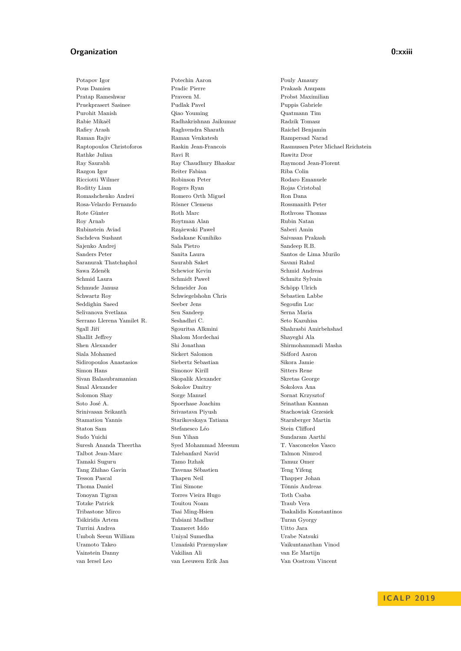### **Organization 0:xxiii**

Potapov Igor Potechin Aaron Pouly Amaury Pous Damien Pradic Pierre Prakash Anupam Pratap Rameshwar Praveen M. Probst Maximilian Pruekprasert Sasinee Pudlak Pavel Puppis Gabriele Purohit Manish Qiao Youming Quatmann Tim Rabie Mikaël Radhakrishnan Jaikumar Radzik Tomasz Rafiey Arash Raghvendra Sharath Raichel Benjamin Raman Rajiv Raman Venkatesh Rampersad Narad Rathke Julian Ravi Ravi R Ravi R Rawitz Dror Ray Saurabh Ray Chaudhury Bhaskar Raymond Jean-Florent Razgon Igor Reiter Fabian Riba Colin Ricciotti Wilmer Robinson Peter Rodaro Emanuele Roditty Liam Rogers Ryan Rojas Cristobal Romashchenko Andrei Romero Orth Miguel Ron Dana Rosa-Velardo Fernando Rösner Clemens Rossmanith Peter Rote Günter Roth Marc Roth Marc Rothvoss Thomas Roy Arnab Roytman Alan Rubin Natan Rubinstein Aviad Rzążewski Paweł Saberi Amin Sachdeva Sushant Sadakane Kunihiko Saivasan Prakash Sajenko Andrej Sala Pietro Sandeep R.B. Sanders Peter Sanita Laura Santos de Lima Murilo Saranurak Thatchaphol Saurabh Saket Savani Rahul Sawa Zdeněk Schewior Kevin Schmid Andreas Schmid Laura Schmidt Paweł Schmitz Sylvain Schmude Janusz Schneider Jon Schöpp Ulrich Schwartz Roy Schwiegelshohn Chris Sebastien Labbe Seddighin Saeed Seeber Jens Segoufin Luc Selivanova Svetlana Sen Sandeep Serna Maria Serrano Llerena Yamilet R. Seshadhri C. Seto Kazuhisa Sgall Jiří Sgouritsa Alkmini Shahrasbi Amirbehshad Shallit Jeffrey Shalom Mordechai Shayeghi Ala Shen Alexander Shi Jonathan Shirmohammadi Masha Siala Mohamed Sickert Salomon Sidford Aaron Sidiropoulos Anastasios Siebertz Sebastian Sikora Jamie Simon Hans Simonov Kirill Sitters Rene Sivan Balasubramanian Skopalik Alexander Skretas George Smal Alexander Sokolov Dmitry Sokolova Ana Solomon Shay Sorge Manuel Sornat Krzysztof Soto José A. Spoerhase Joachim Srinathan Kannan Srinivasan Srikanth Srivastava Piyush Stachowiak Grzesiek Stamatiou Yannis Starikovskaya Tatiana Starnberger Martin Staton Sam Stefanesco Léo Stein Clifford Sudo Yuichi Sun Yihan Sundaram Aarthi Suresh Ananda Theertha Syed Mohammad Meesum T. Vasconcelos Vasco Talbot Jean-Marc Talebanfard Navid Talmon Nimrod Tamaki Suguru Tamo Itzhak Tamuz Omer Tang Zhihao Gavin Tavenas Sébastien Teng Yifeng Tesson Pascal Thapen Neil Thapper Johan Thoma Daniel Tini Simone Tönnis Andreas Tonoyan Tigran Torres Vieira Hugo Toth Csaba Totzke Patrick Touitou Noam Traub Vera Tribastone Mirco Tsai Ming-Hsien Tsakalidis Konstantinos Tsikiridis Artem Tulsiani Madhur Turan Gyorgy Turrini Andrea Tzameret Iddo Uitto Jara Umboh Seeun William Uniyal Sumedha Urabe Natsuki Uramoto Takeo Uznański Przemysław Vaikuntanathan Vinod Vainstein Danny Vakilian Ali van Ee Martijn van Iersel Leo van Leeuwen Erik Jan Van Oostrom Vincent

Raptopoulos Christoforos Raskin Jean-Francois Rasmussen Peter Michael Reichstein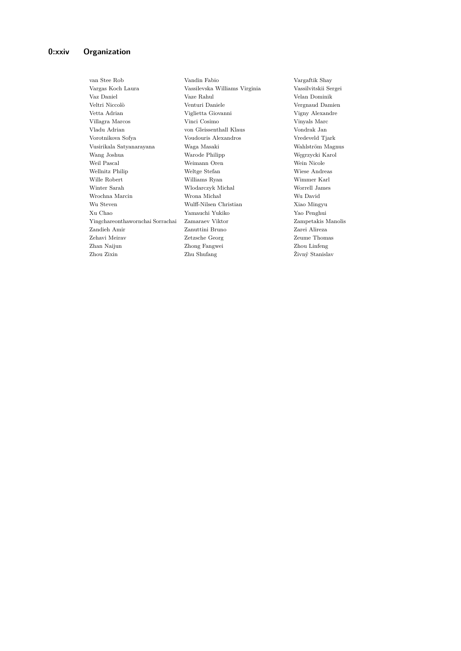van Stee Rob Vandin Fabio Vargaftik Shay Vargas Koch Laura Vassilevska Williams Virginia Vassilvitskii Sergei Vaz Daniel Vaze Rahul Velan Dominik Veltri Niccolò Venturi Daniele Vergnaud Damien Vetta Adrian Viglietta Giovanni Vigny Alexandre Villagra Marcos Vinci Cosimo Vinyals Marc Vladu Adrian von Gleissenthall Klaus Vondrak Jan Vorotnikova Sofya Voudouris Alexandros Vredeveld Tjark Vusirikala Satyanarayana Waga Masaki Wahlström Magnus Wang Joshua Warode Philipp Węgrzycki Karol Weil Pascal Weimann Oren Wein Nicole Wellnitz Philip Weltge Stefan Wiese Andreas Wille Robert Williams Ryan Wimmer Karl Winter Sarah Wlodarczyk Michal Worrell James Wrochna Marcin Wrona Michał Wu David Wu Steven Wulff-Nilsen Christian Xiao Mingyu Xu Chao Yamauchi Yukiko Yao Penghui Yingchareonthawornchai Sorrachai Zamaraev Viktor Zampetakis Manolis Zandieh Amir Zanuttini Bruno Zarei Alireza Zehavi Meirav Zetzsche Georg Zeume Thomas Zhan Naijun Zhong Fangwei Zhou Linfeng Zhou Zixin Zhu Shufang Živný Stanislav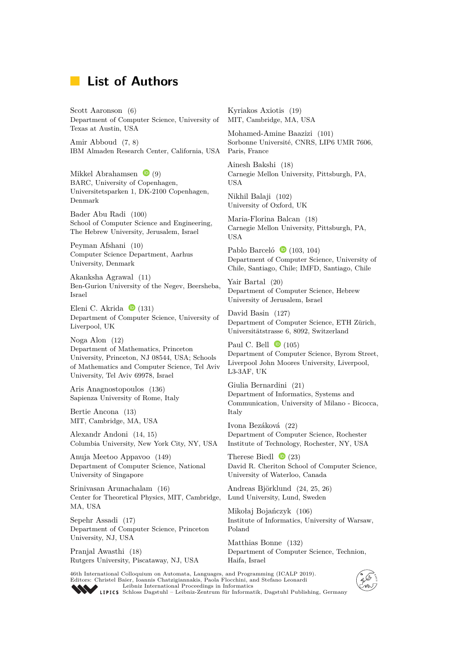# **List of Authors**

Scott Aaronson [\(6\)](https://dx.doi.org/10.4230/LIPIcs.ICALP.2019.6) Department of Computer Science, University of Texas at Austin, USA

Amir Abboud [\(7,](https://dx.doi.org/10.4230/LIPIcs.ICALP.2019.7) [8\)](https://dx.doi.org/10.4230/LIPIcs.ICALP.2019.8) IBM Almaden Research Center, California, USA

Mikkel Abrahamsen  $\bullet$  [\(9\)](https://dx.doi.org/10.4230/LIPIcs.ICALP.2019.9) BARC, University of Copenhagen, Universitetsparken 1, DK-2100 Copenhagen, Denmark

Bader Abu Radi [\(100\)](https://dx.doi.org/10.4230/LIPIcs.ICALP.2019.100) School of Computer Science and Engineering, The Hebrew University, Jerusalem, Israel

Peyman Afshani [\(10\)](https://dx.doi.org/10.4230/LIPIcs.ICALP.2019.10) Computer Science Department, Aarhus University, Denmark

Akanksha Agrawal [\(11\)](https://dx.doi.org/10.4230/LIPIcs.ICALP.2019.11) Ben-Gurion University of the Negev, Beersheba, Israel

Eleni C. Akrida  $\bullet$  [\(131\)](https://dx.doi.org/10.4230/LIPIcs.ICALP.2019.131) Department of Computer Science, University of Liverpool, UK

Noga Alon [\(12\)](https://dx.doi.org/10.4230/LIPIcs.ICALP.2019.12) Department of Mathematics, Princeton University, Princeton, NJ 08544, USA; Schools of Mathematics and Computer Science, Tel Aviv University, Tel Aviv 69978, Israel

Aris Anagnostopoulos [\(136\)](https://dx.doi.org/10.4230/LIPIcs.ICALP.2019.136) Sapienza University of Rome, Italy

Bertie Ancona [\(13\)](https://dx.doi.org/10.4230/LIPIcs.ICALP.2019.13) MIT, Cambridge, MA, USA

Alexandr Andoni [\(14,](https://dx.doi.org/10.4230/LIPIcs.ICALP.2019.14) [15\)](https://dx.doi.org/10.4230/LIPIcs.ICALP.2019.15) Columbia University, New York City, NY, USA

Anuja Meetoo Appavoo [\(149\)](https://dx.doi.org/10.4230/LIPIcs.ICALP.2019.149) Department of Computer Science, National University of Singapore

Srinivasan Arunachalam [\(16\)](https://dx.doi.org/10.4230/LIPIcs.ICALP.2019.16) Center for Theoretical Physics, MIT, Cambridge, MA, USA

Sepehr Assadi [\(17\)](https://dx.doi.org/10.4230/LIPIcs.ICALP.2019.17) Department of Computer Science, Princeton University, NJ, USA

Pranjal Awasthi [\(18\)](https://dx.doi.org/10.4230/LIPIcs.ICALP.2019.18) Rutgers University, Piscataway, NJ, USA

Kyriakos Axiotis [\(19\)](https://dx.doi.org/10.4230/LIPIcs.ICALP.2019.19) MIT, Cambridge, MA, USA

Mohamed-Amine Baazizi [\(101\)](https://dx.doi.org/10.4230/LIPIcs.ICALP.2019.101) Sorbonne Université, CNRS, LIP6 UMR 7606, Paris, France

Ainesh Bakshi [\(18\)](https://dx.doi.org/10.4230/LIPIcs.ICALP.2019.18) Carnegie Mellon University, Pittsburgh, PA, USA

Nikhil Balaji [\(102\)](https://dx.doi.org/10.4230/LIPIcs.ICALP.2019.102) University of Oxford, UK

Maria-Florina Balcan [\(18\)](https://dx.doi.org/10.4230/LIPIcs.ICALP.2019.18) Carnegie Mellon University, Pittsburgh, PA, USA

Pablo Barceló  $\bullet$  [\(103,](https://dx.doi.org/10.4230/LIPIcs.ICALP.2019.103) [104\)](https://dx.doi.org/10.4230/LIPIcs.ICALP.2019.104) Department of Computer Science, University of Chile, Santiago, Chile; IMFD, Santiago, Chile

Yair Bartal [\(20\)](https://dx.doi.org/10.4230/LIPIcs.ICALP.2019.20) Department of Computer Science, Hebrew University of Jerusalem, Israel

David Basin [\(127\)](https://dx.doi.org/10.4230/LIPIcs.ICALP.2019.127) Department of Computer Science, ETH Zürich, Universitätstrasse 6, 8092, Switzerland

Paul C. Bell  $\bullet$  [\(105\)](https://dx.doi.org/10.4230/LIPIcs.ICALP.2019.105) Department of Computer Science, Byrom Street, Liverpool John Moores University, Liverpool, L3-3AF, UK

Giulia Bernardini [\(21\)](https://dx.doi.org/10.4230/LIPIcs.ICALP.2019.21) Department of Informatics, Systems and Communication, University of Milano - Bicocca, Italy

Ivona Bezáková [\(22\)](https://dx.doi.org/10.4230/LIPIcs.ICALP.2019.22) Department of Computer Science, Rochester Institute of Technology, Rochester, NY, USA

Therese Biedl  $\bullet$  [\(23\)](https://dx.doi.org/10.4230/LIPIcs.ICALP.2019.23) David R. Cheriton School of Computer Science, University of Waterloo, Canada

Andreas Björklund [\(24,](https://dx.doi.org/10.4230/LIPIcs.ICALP.2019.24) [25,](https://dx.doi.org/10.4230/LIPIcs.ICALP.2019.25) [26\)](https://dx.doi.org/10.4230/LIPIcs.ICALP.2019.26) Lund University, Lund, Sweden

Mikołaj Bojańczyk [\(106\)](https://dx.doi.org/10.4230/LIPIcs.ICALP.2019.106) Institute of Informatics, University of Warsaw, Poland

Matthias Bonne [\(132\)](https://dx.doi.org/10.4230/LIPIcs.ICALP.2019.132) Department of Computer Science, Technion, Haifa, Israel

46th International Colloquium on Automata, Languages, and Programming (ICALP 2019). Editors: Christel Baier, Ioannis Chatzigiannakis, Paola Flocchini, and Stefano Leonardi [Leibniz International Proceedings in Informatics](https://www.dagstuhl.de/lipics/)



[Schloss Dagstuhl – Leibniz-Zentrum für Informatik, Dagstuhl Publishing, Germany](https://www.dagstuhl.de)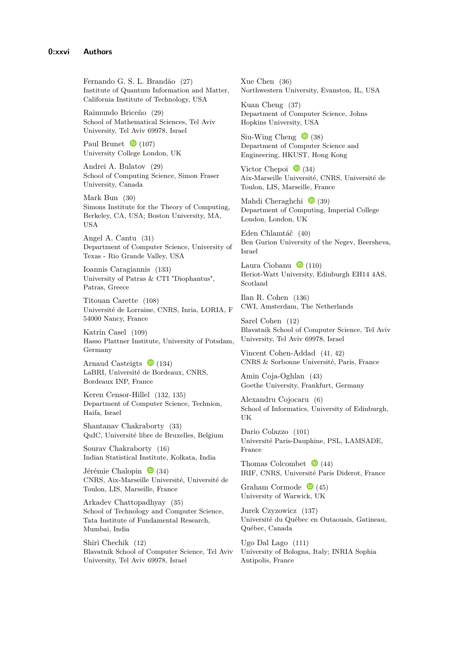Fernando G. S. L. Brandão [\(27\)](https://dx.doi.org/10.4230/LIPIcs.ICALP.2019.27) Institute of Quantum Information and Matter, California Institute of Technology, USA

Raimundo Briceño [\(29\)](https://dx.doi.org/10.4230/LIPIcs.ICALP.2019.29) School of Mathematical Sciences, Tel Aviv University, Tel Aviv 69978, Israel

Paul Brunet  $\bullet$  [\(107\)](https://dx.doi.org/10.4230/LIPIcs.ICALP.2019.107) University College London, UK

Andrei A. Bulatov [\(29\)](https://dx.doi.org/10.4230/LIPIcs.ICALP.2019.29) School of Computing Science, Simon Fraser University, Canada

Mark Bun [\(30\)](https://dx.doi.org/10.4230/LIPIcs.ICALP.2019.30) Simons Institute for the Theory of Computing, Berkeley, CA, USA; Boston University, MA, USA

Angel A. Cantu [\(31\)](https://dx.doi.org/10.4230/LIPIcs.ICALP.2019.31) Department of Computer Science, University of Texas - Rio Grande Valley, USA

Ioannis Caragiannis [\(133\)](https://dx.doi.org/10.4230/LIPIcs.ICALP.2019.133) University of Patras & CTI "Diophantus", Patras, Greece

Titouan Carette [\(108\)](https://dx.doi.org/10.4230/LIPIcs.ICALP.2019.108) Université de Lorraine, CNRS, Inria, LORIA, F 54000 Nancy, France

Katrin Casel [\(109\)](https://dx.doi.org/10.4230/LIPIcs.ICALP.2019.109) Hasso Plattner Institute, University of Potsdam, Germany

Arnaud Casteigts  $\bullet$  [\(134\)](https://dx.doi.org/10.4230/LIPIcs.ICALP.2019.134) LaBRI, Université de Bordeaux, CNRS, Bordeaux INP, France

Keren Censor-Hillel [\(132,](https://dx.doi.org/10.4230/LIPIcs.ICALP.2019.132) [135\)](https://dx.doi.org/10.4230/LIPIcs.ICALP.2019.135) Department of Computer Science, Technion, Haifa, Israel

Shantanav Chakraborty [\(33\)](https://dx.doi.org/10.4230/LIPIcs.ICALP.2019.33) QuIC, Université libre de Bruxelles, Belgium

Sourav Chakraborty [\(16\)](https://dx.doi.org/10.4230/LIPIcs.ICALP.2019.16) Indian Statistical Institute, Kolkata, India

Jérémie Chalopin  $\bullet$  [\(34\)](https://dx.doi.org/10.4230/LIPIcs.ICALP.2019.34) CNRS, Aix-Marseille Université, Université de Toulon, LIS, Marseille, France

Arkadev Chattopadhyay [\(35\)](https://dx.doi.org/10.4230/LIPIcs.ICALP.2019.35) School of Technology and Computer Science, Tata Institute of Fundamental Research, Mumbai, India

Shiri Chechik [\(12\)](https://dx.doi.org/10.4230/LIPIcs.ICALP.2019.12) Blavatnik School of Computer Science, Tel Aviv University, Tel Aviv 69978, Israel

Xue Chen [\(36\)](https://dx.doi.org/10.4230/LIPIcs.ICALP.2019.36) Northwestern University, Evanston, IL, USA

Kuan Cheng [\(37\)](https://dx.doi.org/10.4230/LIPIcs.ICALP.2019.37) Department of Computer Science, Johns Hopkins University, USA

Siu-Wing Cheng  $\bullet$  [\(38\)](https://dx.doi.org/10.4230/LIPIcs.ICALP.2019.38) Department of Computer Science and Engineering, HKUST, Hong Kong

Victor Chepoi  $\bullet$  [\(34\)](https://dx.doi.org/10.4230/LIPIcs.ICALP.2019.34) Aix-Marseille Université, CNRS, Université de Toulon, LIS, Marseille, France

Mahdi Cheraghchi  $\bullet$  [\(39\)](https://dx.doi.org/10.4230/LIPIcs.ICALP.2019.39) Department of Computing, Imperial College London, London, UK

Eden Chlamtáč [\(40\)](https://dx.doi.org/10.4230/LIPIcs.ICALP.2019.40) Ben Gurion University of the Negev, Beersheva, Israel

Laura Ciobanu  $\bullet$  [\(110\)](https://dx.doi.org/10.4230/LIPIcs.ICALP.2019.110) Heriot-Watt University, Edinburgh EH14 4AS, Scotland

Ilan R. Cohen [\(136\)](https://dx.doi.org/10.4230/LIPIcs.ICALP.2019.136) CWI, Amsterdam, The Netherlands

Sarel Cohen [\(12\)](https://dx.doi.org/10.4230/LIPIcs.ICALP.2019.12) Blavatnik School of Computer Science, Tel Aviv University, Tel Aviv 69978, Israel

Vincent Cohen-Addad [\(41,](https://dx.doi.org/10.4230/LIPIcs.ICALP.2019.41) [42\)](https://dx.doi.org/10.4230/LIPIcs.ICALP.2019.42) CNRS & Sorbonne Université, Paris, France

Amin Coja-Oghlan [\(43\)](https://dx.doi.org/10.4230/LIPIcs.ICALP.2019.43) Goethe University, Frankfurt, Germany

Alexandru Cojocaru [\(6\)](https://dx.doi.org/10.4230/LIPIcs.ICALP.2019.6) School of Informatics, University of Edinburgh, UK

Dario Colazzo [\(101\)](https://dx.doi.org/10.4230/LIPIcs.ICALP.2019.101) Université Paris-Dauphine, PSL, LAMSADE, France

Thomas Colcombet  $\bullet$  [\(44\)](https://dx.doi.org/10.4230/LIPIcs.ICALP.2019.44) IRIF, CNRS, Université Paris Diderot, France

Graham Cormode  $\bullet$  [\(45\)](https://dx.doi.org/10.4230/LIPIcs.ICALP.2019.45) University of Warwick, UK

Jurek Czyzowicz [\(137\)](https://dx.doi.org/10.4230/LIPIcs.ICALP.2019.137) Université du Québec en Outaouais, Gatineau, Québec, Canada

Ugo Dal Lago [\(111\)](https://dx.doi.org/10.4230/LIPIcs.ICALP.2019.111) University of Bologna, Italy; INRIA Sophia Antipolis, France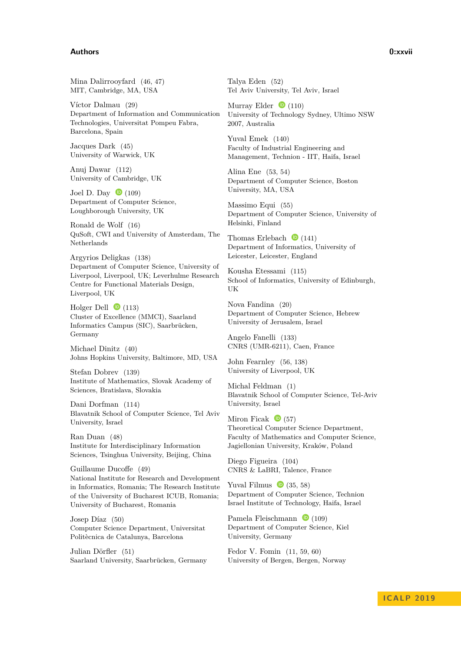#### **Authors 0:xxvii**

Mina Dalirrooyfard [\(46,](https://dx.doi.org/10.4230/LIPIcs.ICALP.2019.46) [47\)](https://dx.doi.org/10.4230/LIPIcs.ICALP.2019.47) MIT, Cambridge, MA, USA

Víctor Dalmau [\(29\)](https://dx.doi.org/10.4230/LIPIcs.ICALP.2019.29) Department of Information and Communication Technologies, Universitat Pompeu Fabra, Barcelona, Spain

Jacques Dark [\(45\)](https://dx.doi.org/10.4230/LIPIcs.ICALP.2019.45) University of Warwick, UK

Anuj Dawar [\(112\)](https://dx.doi.org/10.4230/LIPIcs.ICALP.2019.112) University of Cambridge, UK

Joel D. Day  $\bullet$  [\(109\)](https://dx.doi.org/10.4230/LIPIcs.ICALP.2019.109) Department of Computer Science, Loughborough University, UK

Ronald de Wolf [\(16\)](https://dx.doi.org/10.4230/LIPIcs.ICALP.2019.16) QuSoft, CWI and University of Amsterdam, The Netherlands

Argyrios Deligkas [\(138\)](https://dx.doi.org/10.4230/LIPIcs.ICALP.2019.138) Department of Computer Science, University of Liverpool, Liverpool, UK; Leverhulme Research Centre for Functional Materials Design, Liverpool, UK

Holger Dell  $\bullet$  [\(113\)](https://dx.doi.org/10.4230/LIPIcs.ICALP.2019.113) Cluster of Excellence (MMCI), Saarland Informatics Campus (SIC), Saarbrücken, Germany

Michael Dinitz [\(40\)](https://dx.doi.org/10.4230/LIPIcs.ICALP.2019.40) Johns Hopkins University, Baltimore, MD, USA

Stefan Dobrev [\(139\)](https://dx.doi.org/10.4230/LIPIcs.ICALP.2019.139) Institute of Mathematics, Slovak Academy of Sciences, Bratislava, Slovakia

Dani Dorfman [\(114\)](https://dx.doi.org/10.4230/LIPIcs.ICALP.2019.114) Blavatnik School of Computer Science, Tel Aviv University, Israel

Ran Duan [\(48\)](https://dx.doi.org/10.4230/LIPIcs.ICALP.2019.48) Institute for Interdisciplinary Information Sciences, Tsinghua University, Beijing, China

Guillaume Ducoffe [\(49\)](https://dx.doi.org/10.4230/LIPIcs.ICALP.2019.49) National Institute for Research and Development in Informatics, Romania; The Research Institute of the University of Bucharest ICUB, Romania; University of Bucharest, Romania

Josep Díaz [\(50\)](https://dx.doi.org/10.4230/LIPIcs.ICALP.2019.50) Computer Science Department, Universitat Politècnica de Catalunya, Barcelona

Julian Dörfler [\(51\)](https://dx.doi.org/10.4230/LIPIcs.ICALP.2019.51) Saarland University, Saarbrücken, Germany Talya Eden [\(52\)](https://dx.doi.org/10.4230/LIPIcs.ICALP.2019.52) Tel Aviv University, Tel Aviv, Israel

Murray Elder  $\bullet$  [\(110\)](https://dx.doi.org/10.4230/LIPIcs.ICALP.2019.110) University of Technology Sydney, Ultimo NSW 2007, Australia

Yuval Emek [\(140\)](https://dx.doi.org/10.4230/LIPIcs.ICALP.2019.140) Faculty of Industrial Engineering and Management, Technion - IIT, Haifa, Israel

Alina Ene [\(53,](https://dx.doi.org/10.4230/LIPIcs.ICALP.2019.53) [54\)](https://dx.doi.org/10.4230/LIPIcs.ICALP.2019.54) Department of Computer Science, Boston University, MA, USA

Massimo Equi [\(55\)](https://dx.doi.org/10.4230/LIPIcs.ICALP.2019.55) Department of Computer Science, University of Helsinki, Finland

Thomas Erlebach  $\bullet$  [\(141\)](https://dx.doi.org/10.4230/LIPIcs.ICALP.2019.141) Department of Informatics, University of Leicester, Leicester, England

Kousha Etessami [\(115\)](https://dx.doi.org/10.4230/LIPIcs.ICALP.2019.115) School of Informatics, University of Edinburgh, UK

Nova Fandina [\(20\)](https://dx.doi.org/10.4230/LIPIcs.ICALP.2019.20) Department of Computer Science, Hebrew University of Jerusalem, Israel

Angelo Fanelli [\(133\)](https://dx.doi.org/10.4230/LIPIcs.ICALP.2019.133) CNRS (UMR-6211), Caen, France

John Fearnley [\(56,](https://dx.doi.org/10.4230/LIPIcs.ICALP.2019.56) [138\)](https://dx.doi.org/10.4230/LIPIcs.ICALP.2019.138) University of Liverpool, UK

Michal Feldman [\(1\)](https://dx.doi.org/10.4230/LIPIcs.ICALP.2019.1) Blavatnik School of Computer Science, Tel-Aviv University, Israel

Miron Ficak  $\bullet$  [\(57\)](https://dx.doi.org/10.4230/LIPIcs.ICALP.2019.57) Theoretical Computer Science Department, Faculty of Mathematics and Computer Science, Jagiellonian University, Kraków, Poland

Diego Figueira [\(104\)](https://dx.doi.org/10.4230/LIPIcs.ICALP.2019.104) CNRS & LaBRI, Talence, France

Yuval Filmus  $\bullet$  [\(35,](https://dx.doi.org/10.4230/LIPIcs.ICALP.2019.35) [58\)](https://dx.doi.org/10.4230/LIPIcs.ICALP.2019.58) Department of Computer Science, Technion Israel Institute of Technology, Haifa, Israel

Pamela Fleischmann  $\bullet$  [\(109\)](https://dx.doi.org/10.4230/LIPIcs.ICALP.2019.109) Department of Computer Science, Kiel University, Germany

Fedor V. Fomin [\(11,](https://dx.doi.org/10.4230/LIPIcs.ICALP.2019.11) [59,](https://dx.doi.org/10.4230/LIPIcs.ICALP.2019.59) [60\)](https://dx.doi.org/10.4230/LIPIcs.ICALP.2019.60) University of Bergen, Bergen, Norway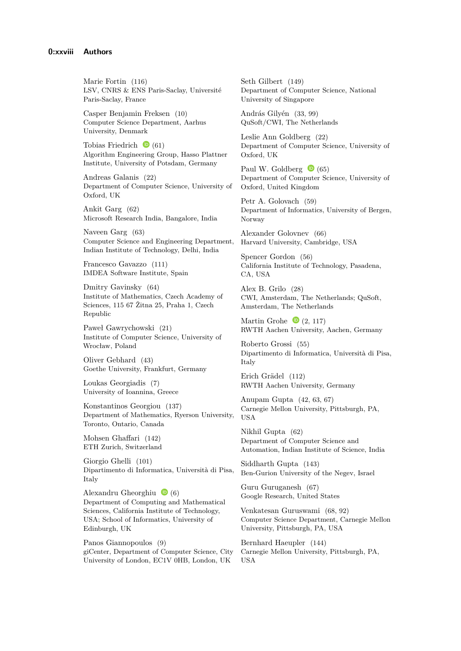Marie Fortin [\(116\)](https://dx.doi.org/10.4230/LIPIcs.ICALP.2019.116) LSV, CNRS & ENS Paris-Saclay, Université Paris-Saclay, France

Casper Benjamin Freksen [\(10\)](https://dx.doi.org/10.4230/LIPIcs.ICALP.2019.10) Computer Science Department, Aarhus University, Denmark

Tobias Friedrich  $\bullet$  [\(61\)](https://dx.doi.org/10.4230/LIPIcs.ICALP.2019.61) Algorithm Engineering Group, Hasso Plattner Institute, University of Potsdam, Germany

Andreas Galanis [\(22\)](https://dx.doi.org/10.4230/LIPIcs.ICALP.2019.22) Department of Computer Science, University of Oxford, UK

Ankit Garg [\(62\)](https://dx.doi.org/10.4230/LIPIcs.ICALP.2019.62) Microsoft Research India, Bangalore, India

Naveen Garg [\(63\)](https://dx.doi.org/10.4230/LIPIcs.ICALP.2019.63) Computer Science and Engineering Department, Indian Institute of Technology, Delhi, India

Francesco Gavazzo [\(111\)](https://dx.doi.org/10.4230/LIPIcs.ICALP.2019.111) IMDEA Software Institute, Spain

Dmitry Gavinsky [\(64\)](https://dx.doi.org/10.4230/LIPIcs.ICALP.2019.64) Institute of Mathematics, Czech Academy of Sciences, 115 67 Žitna 25, Praha 1, Czech Republic

Paweł Gawrychowski [\(21\)](https://dx.doi.org/10.4230/LIPIcs.ICALP.2019.21) Institute of Computer Science, University of Wrocław, Poland

Oliver Gebhard [\(43\)](https://dx.doi.org/10.4230/LIPIcs.ICALP.2019.43) Goethe University, Frankfurt, Germany

Loukas Georgiadis [\(7\)](https://dx.doi.org/10.4230/LIPIcs.ICALP.2019.7) University of Ioannina, Greece

Konstantinos Georgiou [\(137\)](https://dx.doi.org/10.4230/LIPIcs.ICALP.2019.137) Department of Mathematics, Ryerson University, Toronto, Ontario, Canada

Mohsen Ghaffari [\(142\)](https://dx.doi.org/10.4230/LIPIcs.ICALP.2019.142) ETH Zurich, Switzerland

Giorgio Ghelli [\(101\)](https://dx.doi.org/10.4230/LIPIcs.ICALP.2019.101) Dipartimento di Informatica, Università di Pisa, Italy

Alexandru Gheorghiu  $\bullet$  [\(6\)](https://dx.doi.org/10.4230/LIPIcs.ICALP.2019.6) Department of Computing and Mathematical Sciences, California Institute of Technology, USA; School of Informatics, University of Edinburgh, UK

Panos Giannopoulos [\(9\)](https://dx.doi.org/10.4230/LIPIcs.ICALP.2019.9) giCenter, Department of Computer Science, City University of London, EC1V 0HB, London, UK

Seth Gilbert [\(149\)](https://dx.doi.org/10.4230/LIPIcs.ICALP.2019.149) Department of Computer Science, National University of Singapore

András Gilyén [\(33,](https://dx.doi.org/10.4230/LIPIcs.ICALP.2019.33) [99\)](https://dx.doi.org/10.4230/LIPIcs.ICALP.2019.99) QuSoft/CWI, The Netherlands

Leslie Ann Goldberg [\(22\)](https://dx.doi.org/10.4230/LIPIcs.ICALP.2019.22) Department of Computer Science, University of Oxford, UK

Paul W. Goldberg  $\bullet$  [\(65\)](https://dx.doi.org/10.4230/LIPIcs.ICALP.2019.65) Department of Computer Science, University of Oxford, United Kingdom

Petr A. Golovach [\(59\)](https://dx.doi.org/10.4230/LIPIcs.ICALP.2019.59) Department of Informatics, University of Bergen, Norway

Alexander Golovnev [\(66\)](https://dx.doi.org/10.4230/LIPIcs.ICALP.2019.66) Harvard University, Cambridge, USA

Spencer Gordon [\(56\)](https://dx.doi.org/10.4230/LIPIcs.ICALP.2019.56) California Institute of Technology, Pasadena, CA, USA

Alex B. Grilo [\(28\)](https://dx.doi.org/10.4230/LIPIcs.ICALP.2019.28) CWI, Amsterdam, The Netherlands; QuSoft, Amsterdam, The Netherlands

Martin Grohe  $\bullet$  [\(2,](https://dx.doi.org/10.4230/LIPIcs.ICALP.2019.2) [117\)](https://dx.doi.org/10.4230/LIPIcs.ICALP.2019.117) RWTH Aachen University, Aachen, Germany

Roberto Grossi [\(55\)](https://dx.doi.org/10.4230/LIPIcs.ICALP.2019.55) Dipartimento di Informatica, Università di Pisa, Italy

Erich Grädel [\(112\)](https://dx.doi.org/10.4230/LIPIcs.ICALP.2019.112) RWTH Aachen University, Germany

Anupam Gupta [\(42,](https://dx.doi.org/10.4230/LIPIcs.ICALP.2019.42) [63,](https://dx.doi.org/10.4230/LIPIcs.ICALP.2019.63) [67\)](https://dx.doi.org/10.4230/LIPIcs.ICALP.2019.67) Carnegie Mellon University, Pittsburgh, PA, USA

Nikhil Gupta [\(62\)](https://dx.doi.org/10.4230/LIPIcs.ICALP.2019.62) Department of Computer Science and Automation, Indian Institute of Science, India

Siddharth Gupta [\(143\)](https://dx.doi.org/10.4230/LIPIcs.ICALP.2019.143) Ben-Gurion University of the Negev, Israel

Guru Guruganesh [\(67\)](https://dx.doi.org/10.4230/LIPIcs.ICALP.2019.67) Google Research, United States

Venkatesan Guruswami [\(68,](https://dx.doi.org/10.4230/LIPIcs.ICALP.2019.68) [92\)](https://dx.doi.org/10.4230/LIPIcs.ICALP.2019.92) Computer Science Department, Carnegie Mellon University, Pittsburgh, PA, USA

Bernhard Haeupler [\(144\)](https://dx.doi.org/10.4230/LIPIcs.ICALP.2019.144) Carnegie Mellon University, Pittsburgh, PA, USA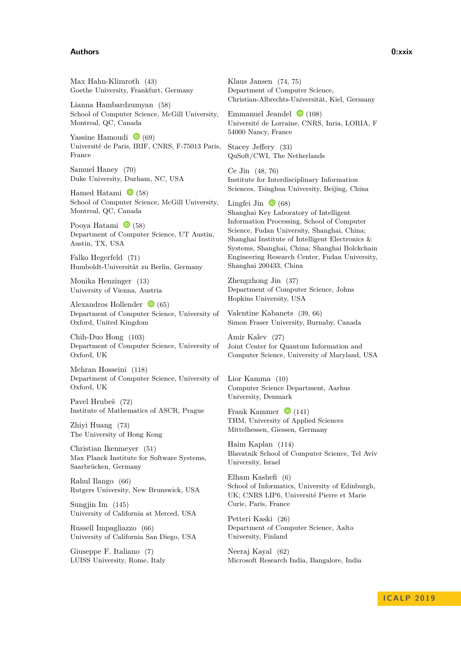#### **Authors 0:xxix**

Max Hahn-Klimroth [\(43\)](https://dx.doi.org/10.4230/LIPIcs.ICALP.2019.43) Goethe University, Frankfurt, Germany

Lianna Hambardzumyan [\(58\)](https://dx.doi.org/10.4230/LIPIcs.ICALP.2019.58) School of Computer Science, McGill University, Montreal, QC, Canada

Yassine Hamoudi  $\bullet$  [\(69\)](https://dx.doi.org/10.4230/LIPIcs.ICALP.2019.69) Université de Paris, IRIF, CNRS, F-75013 Paris, France

Samuel Haney [\(70\)](https://dx.doi.org/10.4230/LIPIcs.ICALP.2019.70) Duke University, Durham, NC, USA

Hamed Hatami  $\bullet$  [\(58\)](https://dx.doi.org/10.4230/LIPIcs.ICALP.2019.58) School of Computer Science, McGill University, Montreal, QC, Canada

Pooya Hatami  $\bullet$  [\(58\)](https://dx.doi.org/10.4230/LIPIcs.ICALP.2019.58) Department of Computer Science, UT Austin, Austin, TX, USA

Falko Hegerfeld [\(71\)](https://dx.doi.org/10.4230/LIPIcs.ICALP.2019.71) Humboldt-Universität zu Berlin, Germany

Monika Henzinger [\(13\)](https://dx.doi.org/10.4230/LIPIcs.ICALP.2019.13) University of Vienna, Austria

Alexandros Hollender  $\bullet$  [\(65\)](https://dx.doi.org/10.4230/LIPIcs.ICALP.2019.65) Department of Computer Science, University of Oxford, United Kingdom

Chih-Duo Hong [\(103\)](https://dx.doi.org/10.4230/LIPIcs.ICALP.2019.103) Department of Computer Science, University of Oxford, UK

Mehran Hosseini [\(118\)](https://dx.doi.org/10.4230/LIPIcs.ICALP.2019.118) Department of Computer Science, University of Oxford, UK

Pavel Hrubeš [\(72\)](https://dx.doi.org/10.4230/LIPIcs.ICALP.2019.72) Institute of Mathematics of ASCR, Prague

Zhiyi Huang [\(73\)](https://dx.doi.org/10.4230/LIPIcs.ICALP.2019.73) The University of Hong Kong

Christian Ikenmeyer [\(51\)](https://dx.doi.org/10.4230/LIPIcs.ICALP.2019.51) Max Planck Institute for Software Systems, Saarbrücken, Germany

Rahul Ilango [\(66\)](https://dx.doi.org/10.4230/LIPIcs.ICALP.2019.66) Rutgers University, New Brunswick, USA

Sungjin Im [\(145\)](https://dx.doi.org/10.4230/LIPIcs.ICALP.2019.145) University of California at Merced, USA

Russell Impagliazzo [\(66\)](https://dx.doi.org/10.4230/LIPIcs.ICALP.2019.66) University of California San Diego, USA

Giuseppe F. Italiano [\(7\)](https://dx.doi.org/10.4230/LIPIcs.ICALP.2019.7) LUISS University, Rome, Italy Klaus Jansen [\(74,](https://dx.doi.org/10.4230/LIPIcs.ICALP.2019.74) [75\)](https://dx.doi.org/10.4230/LIPIcs.ICALP.2019.75) Department of Computer Science, Christian-Albrechts-Universität, Kiel, Germany

Emmanuel Jeandel  $\bullet$  [\(108\)](https://dx.doi.org/10.4230/LIPIcs.ICALP.2019.108) Université de Lorraine, CNRS, Inria, LORIA, F 54000 Nancy, France

Stacey Jeffery [\(33\)](https://dx.doi.org/10.4230/LIPIcs.ICALP.2019.33) QuSoft/CWI, The Netherlands

Ce Jin [\(48,](https://dx.doi.org/10.4230/LIPIcs.ICALP.2019.48) [76\)](https://dx.doi.org/10.4230/LIPIcs.ICALP.2019.76) Institute for Interdisciplinary Information Sciences, Tsinghua University, Beijing, China

Lingfei Jin  $\bullet$  [\(68\)](https://dx.doi.org/10.4230/LIPIcs.ICALP.2019.68) Shanghai Key Laboratory of Intelligent Information Processing, School of Computer Science, Fudan University, Shanghai, China; Shanghai Institute of Intelligent Electronics & Systems, Shanghai, China; Shanghai Bolckchain Engineering Research Center, Fudan University, Shanghai 200433, China

Zhengzhong Jin [\(37\)](https://dx.doi.org/10.4230/LIPIcs.ICALP.2019.37) Department of Computer Science, Johns Hopkins University, USA

Valentine Kabanets [\(39,](https://dx.doi.org/10.4230/LIPIcs.ICALP.2019.39) [66\)](https://dx.doi.org/10.4230/LIPIcs.ICALP.2019.66) Simon Fraser University, Burnaby, Canada

Amir Kalev [\(27\)](https://dx.doi.org/10.4230/LIPIcs.ICALP.2019.27) Joint Center for Quantum Information and Computer Science, University of Maryland, USA

Lior Kamma [\(10\)](https://dx.doi.org/10.4230/LIPIcs.ICALP.2019.10) Computer Science Department, Aarhus University, Denmark

Frank Kammer  $\bullet$  [\(141\)](https://dx.doi.org/10.4230/LIPIcs.ICALP.2019.141) THM, University of Applied Sciences Mittelhessen, Giessen, Germany

Haim Kaplan [\(114\)](https://dx.doi.org/10.4230/LIPIcs.ICALP.2019.114) Blavatnik School of Computer Science, Tel Aviv University, Israel

Elham Kashefi [\(6\)](https://dx.doi.org/10.4230/LIPIcs.ICALP.2019.6) School of Informatics, University of Edinburgh, UK; CNRS LIP6, Université Pierre et Marie Curie, Paris, France

Petteri Kaski [\(26\)](https://dx.doi.org/10.4230/LIPIcs.ICALP.2019.26) Department of Computer Science, Aalto University, Finland

Neeraj Kayal [\(62\)](https://dx.doi.org/10.4230/LIPIcs.ICALP.2019.62) Microsoft Research India, Bangalore, India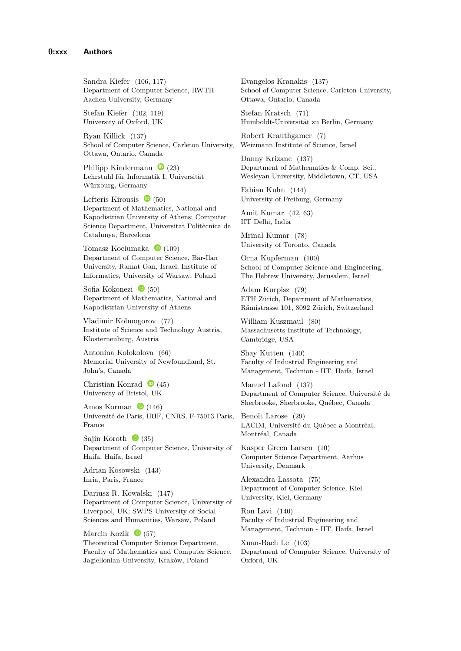Sandra Kiefer [\(106,](https://dx.doi.org/10.4230/LIPIcs.ICALP.2019.106) [117\)](https://dx.doi.org/10.4230/LIPIcs.ICALP.2019.117) Department of Computer Science, RWTH Aachen University, Germany

Stefan Kiefer [\(102,](https://dx.doi.org/10.4230/LIPIcs.ICALP.2019.102) [119\)](https://dx.doi.org/10.4230/LIPIcs.ICALP.2019.119) University of Oxford, UK

Ryan Killick [\(137\)](https://dx.doi.org/10.4230/LIPIcs.ICALP.2019.137) School of Computer Science, Carleton University, Ottawa, Ontario, Canada

Philipp Kindermann  $\bullet$  [\(23\)](https://dx.doi.org/10.4230/LIPIcs.ICALP.2019.23) Lehrstuhl für Informatik I, Universität Würzburg, Germany

Lefteris Kirousis  $\bullet$  [\(50\)](https://dx.doi.org/10.4230/LIPIcs.ICALP.2019.50) Department of Mathematics, National and Kapodistrian University of Athens; Computer Science Department, Universitat Politècnica de Catalunya, Barcelona

Tomasz Kociumaka  $\bullet$  [\(109\)](https://dx.doi.org/10.4230/LIPIcs.ICALP.2019.109) Department of Computer Science, Bar-Ilan University, Ramat Gan, Israel; Institute of Informatics, University of Warsaw, Poland

Sofia Kokonezi  $\bullet$  [\(50\)](https://dx.doi.org/10.4230/LIPIcs.ICALP.2019.50) Department of Mathematics, National and Kapodistrian University of Athens

Vladimir Kolmogorov [\(77\)](https://dx.doi.org/10.4230/LIPIcs.ICALP.2019.77) Institute of Science and Technology Austria, Klosterneuburg, Austria

Antonina Kolokolova [\(66\)](https://dx.doi.org/10.4230/LIPIcs.ICALP.2019.66) Memorial University of Newfoundland, St. John's, Canada

Christian Konrad  $\bullet$  [\(45\)](https://dx.doi.org/10.4230/LIPIcs.ICALP.2019.45) University of Bristol, UK

Amos Korman  $\bullet$  [\(146\)](https://dx.doi.org/10.4230/LIPIcs.ICALP.2019.146) Université de Paris, IRIF, CNRS, F-75013 Paris, France

Sajin Koroth  $\bullet$  [\(35\)](https://dx.doi.org/10.4230/LIPIcs.ICALP.2019.35) Department of Computer Science, University of Haifa, Haifa, Israel

Adrian Kosowski [\(143\)](https://dx.doi.org/10.4230/LIPIcs.ICALP.2019.143) Inria, Paris, France

Dariusz R. Kowalski [\(147\)](https://dx.doi.org/10.4230/LIPIcs.ICALP.2019.147) Department of Computer Science, University of Liverpool, UK; SWPS University of Social Sciences and Humanities, Warsaw, Poland

Marcin Kozik  $\bullet$  [\(57\)](https://dx.doi.org/10.4230/LIPIcs.ICALP.2019.57) Theoretical Computer Science Department, Faculty of Mathematics and Computer Science, Jagiellonian University, Kraków, Poland

Evangelos Kranakis [\(137\)](https://dx.doi.org/10.4230/LIPIcs.ICALP.2019.137) School of Computer Science, Carleton University, Ottawa, Ontario, Canada

Stefan Kratsch [\(71\)](https://dx.doi.org/10.4230/LIPIcs.ICALP.2019.71) Humboldt-Universität zu Berlin, Germany

Robert Krauthgamer [\(7\)](https://dx.doi.org/10.4230/LIPIcs.ICALP.2019.7) Weizmann Institute of Science, Israel

Danny Krizanc [\(137\)](https://dx.doi.org/10.4230/LIPIcs.ICALP.2019.137) Department of Mathematics & Comp. Sci., Wesleyan University, Middletown, CT, USA

Fabian Kuhn [\(144\)](https://dx.doi.org/10.4230/LIPIcs.ICALP.2019.144) University of Freiburg, Germany

Amit Kumar [\(42,](https://dx.doi.org/10.4230/LIPIcs.ICALP.2019.42) [63\)](https://dx.doi.org/10.4230/LIPIcs.ICALP.2019.63) IIT Delhi, India

Mrinal Kumar [\(78\)](https://dx.doi.org/10.4230/LIPIcs.ICALP.2019.78) University of Toronto, Canada

Orna Kupferman [\(100\)](https://dx.doi.org/10.4230/LIPIcs.ICALP.2019.100) School of Computer Science and Engineering, The Hebrew University, Jerusalem, Israel

Adam Kurpisz [\(79\)](https://dx.doi.org/10.4230/LIPIcs.ICALP.2019.79) ETH Zürich, Department of Mathematics, Rämistrasse 101, 8092 Zürich, Switzerland

William Kuszmaul [\(80\)](https://dx.doi.org/10.4230/LIPIcs.ICALP.2019.80) Massachusetts Institute of Technology, Cambridge, USA

Shay Kutten [\(140\)](https://dx.doi.org/10.4230/LIPIcs.ICALP.2019.140) Faculty of Industrial Engineering and Management, Technion - IIT, Haifa, Israel

Manuel Lafond [\(137\)](https://dx.doi.org/10.4230/LIPIcs.ICALP.2019.137) Department of Computer Science, Université de Sherbrooke, Sherbrooke, Québec, Canada

Benoît Larose [\(29\)](https://dx.doi.org/10.4230/LIPIcs.ICALP.2019.29) LACIM, Université du Québec a Montréal, Montréal, Canada

Kasper Green Larsen [\(10\)](https://dx.doi.org/10.4230/LIPIcs.ICALP.2019.10) Computer Science Department, Aarhus University, Denmark

Alexandra Lassota [\(75\)](https://dx.doi.org/10.4230/LIPIcs.ICALP.2019.75) Department of Computer Science, Kiel University, Kiel, Germany

Ron Lavi [\(140\)](https://dx.doi.org/10.4230/LIPIcs.ICALP.2019.140) Faculty of Industrial Engineering and Management, Technion - IIT, Haifa, Israel

Xuan-Bach Le [\(103\)](https://dx.doi.org/10.4230/LIPIcs.ICALP.2019.103) Department of Computer Science, University of Oxford, UK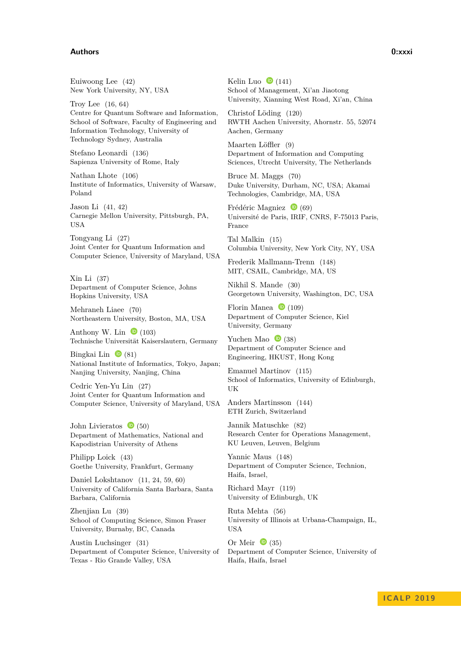#### **Authors 0:xxxi**

Euiwoong Lee [\(42\)](https://dx.doi.org/10.4230/LIPIcs.ICALP.2019.42) New York University, NY, USA

Troy Lee [\(16,](https://dx.doi.org/10.4230/LIPIcs.ICALP.2019.16) [64\)](https://dx.doi.org/10.4230/LIPIcs.ICALP.2019.64) Centre for Quantum Software and Information, School of Software, Faculty of Engineering and Information Technology, University of Technology Sydney, Australia

Stefano Leonardi [\(136\)](https://dx.doi.org/10.4230/LIPIcs.ICALP.2019.136) Sapienza University of Rome, Italy

Nathan Lhote [\(106\)](https://dx.doi.org/10.4230/LIPIcs.ICALP.2019.106) Institute of Informatics, University of Warsaw, Poland

Jason Li [\(41,](https://dx.doi.org/10.4230/LIPIcs.ICALP.2019.41) [42\)](https://dx.doi.org/10.4230/LIPIcs.ICALP.2019.42) Carnegie Mellon University, Pittsburgh, PA, USA

Tongyang Li [\(27\)](https://dx.doi.org/10.4230/LIPIcs.ICALP.2019.27) Joint Center for Quantum Information and Computer Science, University of Maryland, USA

Xin Li [\(37\)](https://dx.doi.org/10.4230/LIPIcs.ICALP.2019.37) Department of Computer Science, Johns Hopkins University, USA

Mehraneh Liaee [\(70\)](https://dx.doi.org/10.4230/LIPIcs.ICALP.2019.70) Northeastern University, Boston, MA, USA

Anthony W. Lin  $\bullet$  [\(103\)](https://dx.doi.org/10.4230/LIPIcs.ICALP.2019.103) Technische Universität Kaiserslautern, Germany

Bingkai Lin  $\bullet$  [\(81\)](https://dx.doi.org/10.4230/LIPIcs.ICALP.2019.81) National Institute of Informatics, Tokyo, Japan; Nanjing University, Nanjing, China

Cedric Yen-Yu Lin [\(27\)](https://dx.doi.org/10.4230/LIPIcs.ICALP.2019.27) Joint Center for Quantum Information and Computer Science, University of Maryland, USA

John Livieratos  $\bullet$  [\(50\)](https://dx.doi.org/10.4230/LIPIcs.ICALP.2019.50) Department of Mathematics, National and Kapodistrian University of Athens

Philipp Loick [\(43\)](https://dx.doi.org/10.4230/LIPIcs.ICALP.2019.43) Goethe University, Frankfurt, Germany

Daniel Lokshtanov [\(11,](https://dx.doi.org/10.4230/LIPIcs.ICALP.2019.11) [24,](https://dx.doi.org/10.4230/LIPIcs.ICALP.2019.24) [59,](https://dx.doi.org/10.4230/LIPIcs.ICALP.2019.59) [60\)](https://dx.doi.org/10.4230/LIPIcs.ICALP.2019.60) University of California Santa Barbara, Santa Barbara, California

Zhenjian Lu [\(39\)](https://dx.doi.org/10.4230/LIPIcs.ICALP.2019.39) School of Computing Science, Simon Fraser University, Burnaby, BC, Canada

Austin Luchsinger [\(31\)](https://dx.doi.org/10.4230/LIPIcs.ICALP.2019.31) Department of Computer Science, University of Texas - Rio Grande Valley, USA

Kelin Luo  $\bullet$  [\(141\)](https://dx.doi.org/10.4230/LIPIcs.ICALP.2019.141) School of Management, Xi'an Jiaotong University, Xianning West Road, Xi'an, China

Christof Löding [\(120\)](https://dx.doi.org/10.4230/LIPIcs.ICALP.2019.120) RWTH Aachen University, Ahornstr. 55, 52074 Aachen, Germany

Maarten Löffler [\(9\)](https://dx.doi.org/10.4230/LIPIcs.ICALP.2019.9) Department of Information and Computing Sciences, Utrecht University, The Netherlands

Bruce M. Maggs [\(70\)](https://dx.doi.org/10.4230/LIPIcs.ICALP.2019.70) Duke University, Durham, NC, USA; Akamai Technologies, Cambridge, MA, USA

Frédéric Magniez  $\bullet$  [\(69\)](https://dx.doi.org/10.4230/LIPIcs.ICALP.2019.69) Université de Paris, IRIF, CNRS, F-75013 Paris, France

Tal Malkin [\(15\)](https://dx.doi.org/10.4230/LIPIcs.ICALP.2019.15) Columbia University, New York City, NY, USA

Frederik Mallmann-Trenn [\(148\)](https://dx.doi.org/10.4230/LIPIcs.ICALP.2019.148) MIT, CSAIL, Cambridge, MA, US

Nikhil S. Mande [\(30\)](https://dx.doi.org/10.4230/LIPIcs.ICALP.2019.30) Georgetown University, Washington, DC, USA

Florin Manea  $\bullet$  [\(109\)](https://dx.doi.org/10.4230/LIPIcs.ICALP.2019.109) Department of Computer Science, Kiel University, Germany

Yuchen Mao  $\bullet$  [\(38\)](https://dx.doi.org/10.4230/LIPIcs.ICALP.2019.38) Department of Computer Science and Engineering, HKUST, Hong Kong

Emanuel Martinov [\(115\)](https://dx.doi.org/10.4230/LIPIcs.ICALP.2019.115) School of Informatics, University of Edinburgh, UK

Anders Martinsson [\(144\)](https://dx.doi.org/10.4230/LIPIcs.ICALP.2019.144) ETH Zurich, Switzerland

Jannik Matuschke [\(82\)](https://dx.doi.org/10.4230/LIPIcs.ICALP.2019.82) Research Center for Operations Management, KU Leuven, Leuven, Belgium

Yannic Maus [\(148\)](https://dx.doi.org/10.4230/LIPIcs.ICALP.2019.148) Department of Computer Science, Technion, Haifa, Israel,

Richard Mayr [\(119\)](https://dx.doi.org/10.4230/LIPIcs.ICALP.2019.119) University of Edinburgh, UK

Ruta Mehta [\(56\)](https://dx.doi.org/10.4230/LIPIcs.ICALP.2019.56) University of Illinois at Urbana-Champaign, IL, **USA** 

Or Meir  $\bullet$  [\(35\)](https://dx.doi.org/10.4230/LIPIcs.ICALP.2019.35) Department of Computer Science, University of Haifa, Haifa, Israel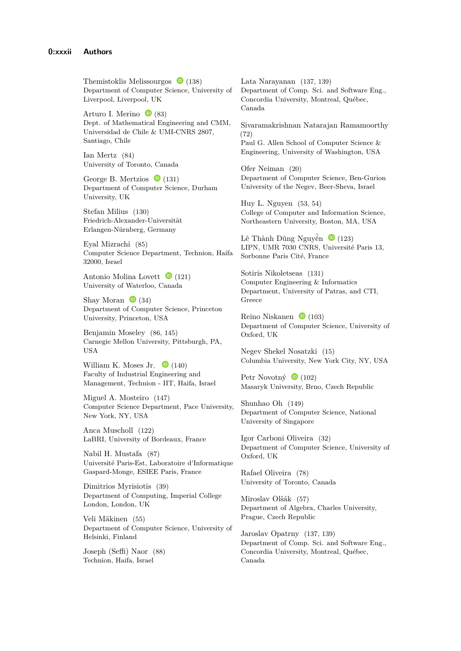Themistoklis Melissourgos  $\bullet$  [\(138\)](https://dx.doi.org/10.4230/LIPIcs.ICALP.2019.138) Department of Computer Science, University of Liverpool, Liverpool, UK

Arturo I. Merino  $\bullet$  [\(83\)](https://dx.doi.org/10.4230/LIPIcs.ICALP.2019.83) Dept. of Mathematical Engineering and CMM, Universidad de Chile & UMI-CNRS 2807, Santiago, Chile

Ian Mertz [\(84\)](https://dx.doi.org/10.4230/LIPIcs.ICALP.2019.84) University of Toronto, Canada

George B. Mertzios  $\bullet$  [\(131\)](https://dx.doi.org/10.4230/LIPIcs.ICALP.2019.131) Department of Computer Science, Durham University, UK

Stefan Milius [\(130\)](https://dx.doi.org/10.4230/LIPIcs.ICALP.2019.130) Friedrich-Alexander-Universität Erlangen-Nürnberg, Germany

Eyal Mizrachi [\(85\)](https://dx.doi.org/10.4230/LIPIcs.ICALP.2019.85) Computer Science Department, Technion, Haifa 32000, Israel

Antonio Molina Lovett  $\bullet$  [\(121\)](https://dx.doi.org/10.4230/LIPIcs.ICALP.2019.121) University of Waterloo, Canada

Shay Moran  $\bullet$  [\(34\)](https://dx.doi.org/10.4230/LIPIcs.ICALP.2019.34) Department of Computer Science, Princeton University, Princeton, USA

Benjamin Moseley [\(86,](https://dx.doi.org/10.4230/LIPIcs.ICALP.2019.86) [145\)](https://dx.doi.org/10.4230/LIPIcs.ICALP.2019.145) Carnegie Mellon University, Pittsburgh, PA, USA

William K. Moses Jr.  $\bullet$  [\(140\)](https://dx.doi.org/10.4230/LIPIcs.ICALP.2019.140) Faculty of Industrial Engineering and Management, Technion - IIT, Haifa, Israel

Miguel A. Mosteiro [\(147\)](https://dx.doi.org/10.4230/LIPIcs.ICALP.2019.147) Computer Science Department, Pace University, New York, NY, USA

Anca Muscholl [\(122\)](https://dx.doi.org/10.4230/LIPIcs.ICALP.2019.122) LaBRI, University of Bordeaux, France

Nabil H. Mustafa [\(87\)](https://dx.doi.org/10.4230/LIPIcs.ICALP.2019.87) Université Paris-Est, Laboratoire d'Informatique Gaspard-Monge, ESIEE Paris, France

Dimitrios Myrisiotis [\(39\)](https://dx.doi.org/10.4230/LIPIcs.ICALP.2019.39) Department of Computing, Imperial College London, London, UK

Veli Mäkinen [\(55\)](https://dx.doi.org/10.4230/LIPIcs.ICALP.2019.55) Department of Computer Science, University of Helsinki, Finland

Joseph (Seffi) Naor [\(88\)](https://dx.doi.org/10.4230/LIPIcs.ICALP.2019.88) Technion, Haifa, Israel

Lata Narayanan [\(137,](https://dx.doi.org/10.4230/LIPIcs.ICALP.2019.137) [139\)](https://dx.doi.org/10.4230/LIPIcs.ICALP.2019.139) Department of Comp. Sci. and Software Eng., Concordia University, Montreal, Québec, Canada

Sivaramakrishnan Natarajan Ramamoorthy [\(72\)](https://dx.doi.org/10.4230/LIPIcs.ICALP.2019.72) Paul G. Allen School of Computer Science & Engineering, University of Washington, USA

Ofer Neiman [\(20\)](https://dx.doi.org/10.4230/LIPIcs.ICALP.2019.20) Department of Computer Science, Ben-Gurion University of the Negev, Beer-Sheva, Israel

Huy L. Nguyen [\(53,](https://dx.doi.org/10.4230/LIPIcs.ICALP.2019.53) [54\)](https://dx.doi.org/10.4230/LIPIcs.ICALP.2019.54) College of Computer and Information Science, Northeastern University, Boston, MA, USA

Lê Thành Dũng Nguyễn  $\bullet$  [\(123\)](https://dx.doi.org/10.4230/LIPIcs.ICALP.2019.123) LIPN, UMR 7030 CNRS, Université Paris 13, Sorbonne Paris Cité, France

Sotiris Nikoletseas [\(131\)](https://dx.doi.org/10.4230/LIPIcs.ICALP.2019.131) Computer Engineering & Informatics Department, University of Patras, and CTI, Greece

Reino Niskanen  $\bullet$  [\(103\)](https://dx.doi.org/10.4230/LIPIcs.ICALP.2019.103) Department of Computer Science, University of Oxford, UK

Negev Shekel Nosatzki [\(15\)](https://dx.doi.org/10.4230/LIPIcs.ICALP.2019.15) Columbia University, New York City, NY, USA

Petr Novotný  $\bullet$  [\(102\)](https://dx.doi.org/10.4230/LIPIcs.ICALP.2019.102) Masaryk University, Brno, Czech Republic

Shunhao Oh [\(149\)](https://dx.doi.org/10.4230/LIPIcs.ICALP.2019.149) Department of Computer Science, National University of Singapore

Igor Carboni Oliveira [\(32\)](https://dx.doi.org/10.4230/LIPIcs.ICALP.2019.32) Department of Computer Science, University of Oxford, UK

Rafael Oliveira [\(78\)](https://dx.doi.org/10.4230/LIPIcs.ICALP.2019.78) University of Toronto, Canada

Miroslav Olšák [\(57\)](https://dx.doi.org/10.4230/LIPIcs.ICALP.2019.57) Department of Algebra, Charles University, Prague, Czech Republic

Jaroslav Opatrny [\(137,](https://dx.doi.org/10.4230/LIPIcs.ICALP.2019.137) [139\)](https://dx.doi.org/10.4230/LIPIcs.ICALP.2019.139) Department of Comp. Sci. and Software Eng., Concordia University, Montreal, Québec, Canada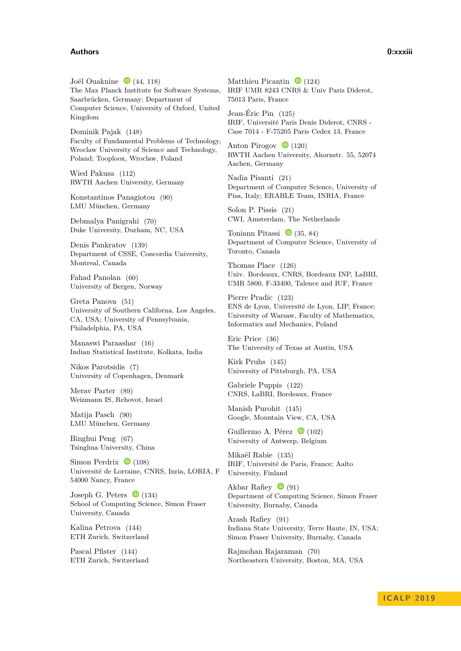#### **Authors 0:xxxiii**

Joël Ouaknine  $\bullet$  [\(44,](https://dx.doi.org/10.4230/LIPIcs.ICALP.2019.44) [118\)](https://dx.doi.org/10.4230/LIPIcs.ICALP.2019.118) The Max Planck Institute for Software Systems, Saarbrücken, Germany; Department of Computer Science, University of Oxford, United Kingdom

Dominik Pajak [\(148\)](https://dx.doi.org/10.4230/LIPIcs.ICALP.2019.148) Faculty of Fundamental Problems of Technology, Wroclaw University of Science and Technology, Poland; Tooploox, Wroclaw, Poland

Wied Pakusa [\(112\)](https://dx.doi.org/10.4230/LIPIcs.ICALP.2019.112) RWTH Aachen University, Germany

Konstantinos Panagiotou [\(90\)](https://dx.doi.org/10.4230/LIPIcs.ICALP.2019.90) LMU München, Germany

Debmalya Panigrahi [\(70\)](https://dx.doi.org/10.4230/LIPIcs.ICALP.2019.70) Duke University, Durham, NC, USA

Denis Pankratov [\(139\)](https://dx.doi.org/10.4230/LIPIcs.ICALP.2019.139) Department of CSSE, Concordia University, Montreal, Canada

Fahad Panolan [\(60\)](https://dx.doi.org/10.4230/LIPIcs.ICALP.2019.60) University of Bergen, Norway

Greta Panova [\(51\)](https://dx.doi.org/10.4230/LIPIcs.ICALP.2019.51) University of Southern Californa, Los Angeles, CA, USA; University of Pennsylvania, Philadelphia, PA, USA

Manaswi Paraashar [\(16\)](https://dx.doi.org/10.4230/LIPIcs.ICALP.2019.16) Indian Statistical Institute, Kolkata, India

Nikos Parotsidis [\(7\)](https://dx.doi.org/10.4230/LIPIcs.ICALP.2019.7) University of Copenhagen, Denmark

Merav Parter [\(89\)](https://dx.doi.org/10.4230/LIPIcs.ICALP.2019.89) Weizmann IS, Rehovot, Israel

Matija Pasch [\(90\)](https://dx.doi.org/10.4230/LIPIcs.ICALP.2019.90) LMU München, Germany

Binghui Peng [\(67\)](https://dx.doi.org/10.4230/LIPIcs.ICALP.2019.67) Tsinghua University, China

Simon Perdrix  $\bullet$  [\(108\)](https://dx.doi.org/10.4230/LIPIcs.ICALP.2019.108) Université de Lorraine, CNRS, Inria, LORIA, F 54000 Nancy, France

Joseph G. Peters  $\bullet$  [\(134\)](https://dx.doi.org/10.4230/LIPIcs.ICALP.2019.134) School of Computing Science, Simon Fraser University, Canada

Kalina Petrova [\(144\)](https://dx.doi.org/10.4230/LIPIcs.ICALP.2019.144) ETH Zurich, Switzerland

Pascal Pfister [\(144\)](https://dx.doi.org/10.4230/LIPIcs.ICALP.2019.144) ETH Zurich, Switzerland

Matthieu Picantin  $\bullet$  [\(124\)](https://dx.doi.org/10.4230/LIPIcs.ICALP.2019.124) IRIF UMR 8243 CNRS & Univ Paris Diderot, 75013 Paris, France

Jean-Éric Pin [\(125\)](https://dx.doi.org/10.4230/LIPIcs.ICALP.2019.125) IRIF, Université Paris Denis Diderot, CNRS - Case 7014 - F-75205 Paris Cedex 13, France

Anton Pirogov  $\bullet$  [\(120\)](https://dx.doi.org/10.4230/LIPIcs.ICALP.2019.120) RWTH Aachen University, Ahornstr. 55, 52074 Aachen, Germany

Nadia Pisanti [\(21\)](https://dx.doi.org/10.4230/LIPIcs.ICALP.2019.21) Department of Computer Science, University of Pisa, Italy; ERABLE Team, INRIA, France

Solon P. Pissis [\(21\)](https://dx.doi.org/10.4230/LIPIcs.ICALP.2019.21) CWI, Amsterdam, The Netherlands

Toniann Pitassi  $\bullet$  [\(35,](https://dx.doi.org/10.4230/LIPIcs.ICALP.2019.35) [84\)](https://dx.doi.org/10.4230/LIPIcs.ICALP.2019.84) Department of Computer Science, University of Toronto, Canada

Thomas Place [\(126\)](https://dx.doi.org/10.4230/LIPIcs.ICALP.2019.126) Univ. Bordeaux, CNRS, Bordeaux INP, LaBRI, UMR 5800, F-33400, Talence and IUF, France

Pierre Pradic [\(123\)](https://dx.doi.org/10.4230/LIPIcs.ICALP.2019.123) ENS de Lyon, Université de Lyon, LIP, France; University of Warsaw, Faculty of Mathematics, Informatics and Mechanics, Poland

Eric Price [\(36\)](https://dx.doi.org/10.4230/LIPIcs.ICALP.2019.36) The University of Texas at Austin, USA

Kirk Pruhs [\(145\)](https://dx.doi.org/10.4230/LIPIcs.ICALP.2019.145) University of Pittsburgh, PA, USA

Gabriele Puppis [\(122\)](https://dx.doi.org/10.4230/LIPIcs.ICALP.2019.122) CNRS, LaBRI, Bordeaux, France

Manish Purohit [\(145\)](https://dx.doi.org/10.4230/LIPIcs.ICALP.2019.145) Google, Mountain View, CA, USA

Guillermo A. Pérez  $\bullet$  [\(102\)](https://dx.doi.org/10.4230/LIPIcs.ICALP.2019.102) University of Antwerp, Belgium

Mikaël Rabie [\(135\)](https://dx.doi.org/10.4230/LIPIcs.ICALP.2019.135) IRIF, Université de Paris, France; Aalto University, Finland

Akbar Rafiey  $\bullet$  [\(91\)](https://dx.doi.org/10.4230/LIPIcs.ICALP.2019.91) Department of Computing Science, Simon Fraser University, Burnaby, Canada

Arash Rafiey [\(91\)](https://dx.doi.org/10.4230/LIPIcs.ICALP.2019.91) Indiana State University, Terre Haute, IN, USA; Simon Fraser University, Burnaby, Canada

Rajmohan Rajaraman [\(70\)](https://dx.doi.org/10.4230/LIPIcs.ICALP.2019.70) Northeastern University, Boston, MA, USA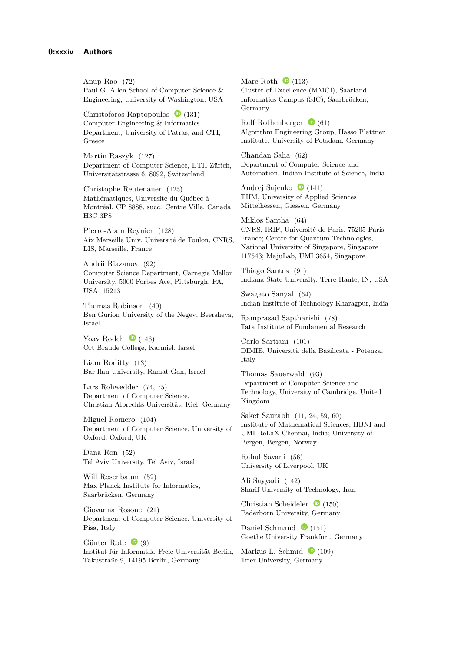Anup Rao [\(72\)](https://dx.doi.org/10.4230/LIPIcs.ICALP.2019.72) Paul G. Allen School of Computer Science & Engineering, University of Washington, USA

Christoforos Raptopoulos  $\bullet$  [\(131\)](https://dx.doi.org/10.4230/LIPIcs.ICALP.2019.131) Computer Engineering & Informatics Department, University of Patras, and CTI, Greece

Martin Raszyk [\(127\)](https://dx.doi.org/10.4230/LIPIcs.ICALP.2019.127) Department of Computer Science, ETH Zürich, Universitätstrasse 6, 8092, Switzerland

Christophe Reutenauer [\(125\)](https://dx.doi.org/10.4230/LIPIcs.ICALP.2019.125) Mathématiques, Université du Québec à Montréal, CP 8888, succ. Centre Ville, Canada H3C 3P8

Pierre-Alain Reynier [\(128\)](https://dx.doi.org/10.4230/LIPIcs.ICALP.2019.128) Aix Marseille Univ, Université de Toulon, CNRS, LIS, Marseille, France

Andrii Riazanov [\(92\)](https://dx.doi.org/10.4230/LIPIcs.ICALP.2019.92) Computer Science Department, Carnegie Mellon University, 5000 Forbes Ave, Pittsburgh, PA, USA, 15213

Thomas Robinson [\(40\)](https://dx.doi.org/10.4230/LIPIcs.ICALP.2019.40) Ben Gurion University of the Negev, Beersheva, Israel

Yoav Rodeh  $\bullet$  [\(146\)](https://dx.doi.org/10.4230/LIPIcs.ICALP.2019.146) Ort Braude College, Karmiel, Israel

Liam Roditty [\(13\)](https://dx.doi.org/10.4230/LIPIcs.ICALP.2019.13) Bar Ilan University, Ramat Gan, Israel

Lars Rohwedder [\(74,](https://dx.doi.org/10.4230/LIPIcs.ICALP.2019.74) [75\)](https://dx.doi.org/10.4230/LIPIcs.ICALP.2019.75) Department of Computer Science, Christian-Albrechts-Universität, Kiel, Germany

Miguel Romero [\(104\)](https://dx.doi.org/10.4230/LIPIcs.ICALP.2019.104) Department of Computer Science, University of Oxford, Oxford, UK

Dana Ron [\(52\)](https://dx.doi.org/10.4230/LIPIcs.ICALP.2019.52) Tel Aviv University, Tel Aviv, Israel

Will Rosenbaum [\(52\)](https://dx.doi.org/10.4230/LIPIcs.ICALP.2019.52) Max Planck Institute for Informatics, Saarbrücken, Germany

Giovanna Rosone [\(21\)](https://dx.doi.org/10.4230/LIPIcs.ICALP.2019.21) Department of Computer Science, University of Pisa, Italy

Günter Rote  $\bullet$  [\(9\)](https://dx.doi.org/10.4230/LIPIcs.ICALP.2019.9) Institut für Informatik, Freie Universität Berlin, Takustraße 9, 14195 Berlin, Germany

Marc Roth  $\bullet$  [\(113\)](https://dx.doi.org/10.4230/LIPIcs.ICALP.2019.113) Cluster of Excellence (MMCI), Saarland Informatics Campus (SIC), Saarbrücken, Germany

Ralf Rothenberger  $\bullet$  [\(61\)](https://dx.doi.org/10.4230/LIPIcs.ICALP.2019.61) Algorithm Engineering Group, Hasso Plattner Institute, University of Potsdam, Germany

Chandan Saha [\(62\)](https://dx.doi.org/10.4230/LIPIcs.ICALP.2019.62) Department of Computer Science and Automation, Indian Institute of Science, India

Andrej Sajenko  $\bullet$  [\(141\)](https://dx.doi.org/10.4230/LIPIcs.ICALP.2019.141) THM, University of Applied Sciences Mittelhessen, Giessen, Germany

Miklos Santha [\(64\)](https://dx.doi.org/10.4230/LIPIcs.ICALP.2019.64) CNRS, IRIF, Université de Paris, 75205 Paris, France; Centre for Quantum Technologies, National University of Singapore, Singapore 117543; MajuLab, UMI 3654, Singapore

Thiago Santos [\(91\)](https://dx.doi.org/10.4230/LIPIcs.ICALP.2019.91) Indiana State University, Terre Haute, IN, USA

Swagato Sanyal [\(64\)](https://dx.doi.org/10.4230/LIPIcs.ICALP.2019.64) Indian Institute of Technology Kharagpur, India

Ramprasad Saptharishi [\(78\)](https://dx.doi.org/10.4230/LIPIcs.ICALP.2019.78) Tata Institute of Fundamental Research

Carlo Sartiani [\(101\)](https://dx.doi.org/10.4230/LIPIcs.ICALP.2019.101) DIMIE, Università della Basilicata - Potenza, Italy

Thomas Sauerwald [\(93\)](https://dx.doi.org/10.4230/LIPIcs.ICALP.2019.93) Department of Computer Science and Technology, University of Cambridge, United Kingdom

Saket Saurabh [\(11,](https://dx.doi.org/10.4230/LIPIcs.ICALP.2019.11) [24,](https://dx.doi.org/10.4230/LIPIcs.ICALP.2019.24) [59,](https://dx.doi.org/10.4230/LIPIcs.ICALP.2019.59) [60\)](https://dx.doi.org/10.4230/LIPIcs.ICALP.2019.60) Institute of Mathematical Sciences, HBNI and UMI ReLaX Chennai, India; University of Bergen, Bergen, Norway

Rahul Savani [\(56\)](https://dx.doi.org/10.4230/LIPIcs.ICALP.2019.56) University of Liverpool, UK

Ali Sayyadi [\(142\)](https://dx.doi.org/10.4230/LIPIcs.ICALP.2019.142) Sharif University of Technology, Iran

Christian Scheideler  $\bullet$  [\(150\)](https://dx.doi.org/10.4230/LIPIcs.ICALP.2019.150) Paderborn University, Germany

Daniel Schmand  $\bullet$  [\(151\)](https://dx.doi.org/10.4230/LIPIcs.ICALP.2019.151) Goethe University Frankfurt, Germany

Markus L. Schmid  $\bullet$  [\(109\)](https://dx.doi.org/10.4230/LIPIcs.ICALP.2019.109) Trier University, Germany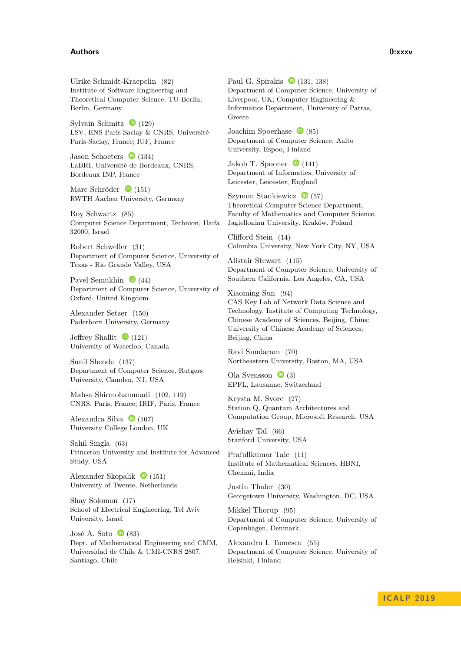#### **Authors 0:xxxv**

Ulrike Schmidt-Kraepelin [\(82\)](https://dx.doi.org/10.4230/LIPIcs.ICALP.2019.82) Institute of Software Engineering and Theoretical Computer Science, TU Berlin, Berlin, Germany

Sylvain Schmitz  $\bullet$  [\(129\)](https://dx.doi.org/10.4230/LIPIcs.ICALP.2019.129) LSV, ENS Paris Saclay & CNRS, Université Paris-Saclay, France; IUF, France

Jason Schoeters  $\bullet$  [\(134\)](https://dx.doi.org/10.4230/LIPIcs.ICALP.2019.134) LaBRI, Université de Bordeaux, CNRS, Bordeaux INP, France

Marc Schröder  $\bullet$  [\(151\)](https://dx.doi.org/10.4230/LIPIcs.ICALP.2019.151) RWTH Aachen University, Germany

Roy Schwartz [\(85\)](https://dx.doi.org/10.4230/LIPIcs.ICALP.2019.85) Computer Science Department, Technion, Haifa 32000, Israel

Robert Schweller [\(31\)](https://dx.doi.org/10.4230/LIPIcs.ICALP.2019.31) Department of Computer Science, University of Texas - Rio Grande Valley, USA

Pavel Semukhin  $\bullet$  [\(44\)](https://dx.doi.org/10.4230/LIPIcs.ICALP.2019.44) Department of Computer Science, University of Oxford, United Kingdom

Alexander Setzer [\(150\)](https://dx.doi.org/10.4230/LIPIcs.ICALP.2019.150) Paderborn University, Germany

Jeffrey Shallit  $\bullet$  [\(121\)](https://dx.doi.org/10.4230/LIPIcs.ICALP.2019.121) University of Waterloo, Canada

Sunil Shende [\(137\)](https://dx.doi.org/10.4230/LIPIcs.ICALP.2019.137) Department of Computer Science, Rutgers University, Camden, NJ, USA

Mahsa Shirmohammadi [\(102,](https://dx.doi.org/10.4230/LIPIcs.ICALP.2019.102) [119\)](https://dx.doi.org/10.4230/LIPIcs.ICALP.2019.119) CNRS, Paris, France; IRIF, Paris, France

Alexandra Silva  $\bullet$  [\(107\)](https://dx.doi.org/10.4230/LIPIcs.ICALP.2019.107) University College London, UK

Sahil Singla [\(63\)](https://dx.doi.org/10.4230/LIPIcs.ICALP.2019.63) Princeton University and Institute for Advanced Study, USA

Alexander Skopalik  $\bullet$  [\(151\)](https://dx.doi.org/10.4230/LIPIcs.ICALP.2019.151) University of Twente, Netherlands

Shay Solomon [\(17\)](https://dx.doi.org/10.4230/LIPIcs.ICALP.2019.17) School of Electrical Engineering, Tel Aviv University, Israel

José A. Soto  $\bullet$  [\(83\)](https://dx.doi.org/10.4230/LIPIcs.ICALP.2019.83) Dept. of Mathematical Engineering and CMM, Universidad de Chile & UMI-CNRS 2807, Santiago, Chile

Paul G. Spirakis  $\bullet$  [\(131,](https://dx.doi.org/10.4230/LIPIcs.ICALP.2019.131) [138\)](https://dx.doi.org/10.4230/LIPIcs.ICALP.2019.138) Department of Computer Science, University of Liverpool, UK; Computer Engineering & Informatics Department, University of Patras, Greece

Joachim Spoerhase  $\bullet$  [\(85\)](https://dx.doi.org/10.4230/LIPIcs.ICALP.2019.85) Department of Computer Science, Aalto University, Espoo, Finland

Jakob T. Spooner  $\bullet$  [\(141\)](https://dx.doi.org/10.4230/LIPIcs.ICALP.2019.141) Department of Informatics, University of Leicester, Leicester, England

Szymon Stankiewicz $\quad \bullet$ [\(57\)](https://dx.doi.org/10.4230/LIPIcs.ICALP.2019.57) Theoretical Computer Science Department, Faculty of Mathematics and Computer Science, Jagiellonian University, Kraków, Poland

Clifford Stein [\(14\)](https://dx.doi.org/10.4230/LIPIcs.ICALP.2019.14) Columbia University, New York City, NY, USA

Alistair Stewart [\(115\)](https://dx.doi.org/10.4230/LIPIcs.ICALP.2019.115) Department of Computer Science, University of Southern California, Los Angeles, CA, USA

Xiaoming Sun [\(94\)](https://dx.doi.org/10.4230/LIPIcs.ICALP.2019.94) CAS Key Lab of Network Data Science and Technology, Institute of Computing Technology, Chinese Academy of Sciences, Beijing, China; University of Chinese Academy of Sciences, Beijing, China

Ravi Sundaram [\(70\)](https://dx.doi.org/10.4230/LIPIcs.ICALP.2019.70) Northeastern University, Boston, MA, USA

Ola Svensson  $\bullet$  [\(3\)](https://dx.doi.org/10.4230/LIPIcs.ICALP.2019.3) EPFL, Lausanne, Switzerland

Krysta M. Svore [\(27\)](https://dx.doi.org/10.4230/LIPIcs.ICALP.2019.27) Station Q, Quantum Architectures and Computation Group, Microsoft Research, USA

Avishay Tal [\(66\)](https://dx.doi.org/10.4230/LIPIcs.ICALP.2019.66) Stanford University, USA

Prafullkumar Tale [\(11\)](https://dx.doi.org/10.4230/LIPIcs.ICALP.2019.11) Institute of Mathematical Sciences, HBNI, Chennai, India

Justin Thaler [\(30\)](https://dx.doi.org/10.4230/LIPIcs.ICALP.2019.30) Georgetown University, Washington, DC, USA

Mikkel Thorup [\(95\)](https://dx.doi.org/10.4230/LIPIcs.ICALP.2019.95) Department of Computer Science, University of Copenhagen, Denmark

Alexandru I. Tomescu [\(55\)](https://dx.doi.org/10.4230/LIPIcs.ICALP.2019.55) Department of Computer Science, University of Helsinki, Finland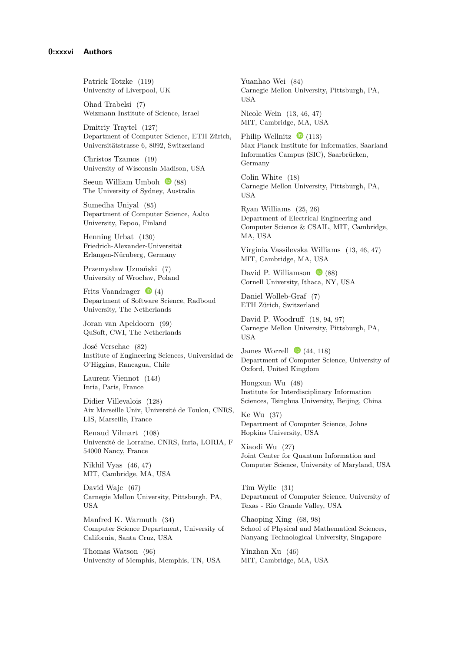Patrick Totzke [\(119\)](https://dx.doi.org/10.4230/LIPIcs.ICALP.2019.119) University of Liverpool, UK

Ohad Trabelsi [\(7\)](https://dx.doi.org/10.4230/LIPIcs.ICALP.2019.7) Weizmann Institute of Science, Israel

Dmitriy Traytel [\(127\)](https://dx.doi.org/10.4230/LIPIcs.ICALP.2019.127) Department of Computer Science, ETH Zürich, Universitätstrasse 6, 8092, Switzerland

Christos Tzamos [\(19\)](https://dx.doi.org/10.4230/LIPIcs.ICALP.2019.19) University of Wisconsin-Madison, USA

Seeun William Umboh  $\bullet$  [\(88\)](https://dx.doi.org/10.4230/LIPIcs.ICALP.2019.88) The University of Sydney, Australia

Sumedha Uniyal [\(85\)](https://dx.doi.org/10.4230/LIPIcs.ICALP.2019.85) Department of Computer Science, Aalto University, Espoo, Finland

Henning Urbat [\(130\)](https://dx.doi.org/10.4230/LIPIcs.ICALP.2019.130) Friedrich-Alexander-Universität Erlangen-Nürnberg, Germany

Przemysław Uznański [\(7\)](https://dx.doi.org/10.4230/LIPIcs.ICALP.2019.7) University of Wrocław, Poland

Frits Vaandrager  $\bullet$  [\(4\)](https://dx.doi.org/10.4230/LIPIcs.ICALP.2019.4) Department of Software Science, Radboud University, The Netherlands

Joran van Apeldoorn [\(99\)](https://dx.doi.org/10.4230/LIPIcs.ICALP.2019.99) QuSoft, CWI, The Netherlands

José Verschae [\(82\)](https://dx.doi.org/10.4230/LIPIcs.ICALP.2019.82) Institute of Engineering Sciences, Universidad de O'Higgins, Rancagua, Chile

Laurent Viennot [\(143\)](https://dx.doi.org/10.4230/LIPIcs.ICALP.2019.143) Inria, Paris, France

Didier Villevalois [\(128\)](https://dx.doi.org/10.4230/LIPIcs.ICALP.2019.128) Aix Marseille Univ, Université de Toulon, CNRS, LIS, Marseille, France

Renaud Vilmart [\(108\)](https://dx.doi.org/10.4230/LIPIcs.ICALP.2019.108) Université de Lorraine, CNRS, Inria, LORIA, F 54000 Nancy, France

Nikhil Vyas [\(46,](https://dx.doi.org/10.4230/LIPIcs.ICALP.2019.46) [47\)](https://dx.doi.org/10.4230/LIPIcs.ICALP.2019.47) MIT, Cambridge, MA, USA

David Wajc [\(67\)](https://dx.doi.org/10.4230/LIPIcs.ICALP.2019.67) Carnegie Mellon University, Pittsburgh, PA, USA

Manfred K. Warmuth [\(34\)](https://dx.doi.org/10.4230/LIPIcs.ICALP.2019.34) Computer Science Department, University of California, Santa Cruz, USA

Thomas Watson [\(96\)](https://dx.doi.org/10.4230/LIPIcs.ICALP.2019.96) University of Memphis, Memphis, TN, USA Yuanhao Wei [\(84\)](https://dx.doi.org/10.4230/LIPIcs.ICALP.2019.84) Carnegie Mellon University, Pittsburgh, PA, **USA** 

Nicole Wein [\(13,](https://dx.doi.org/10.4230/LIPIcs.ICALP.2019.13) [46,](https://dx.doi.org/10.4230/LIPIcs.ICALP.2019.46) [47\)](https://dx.doi.org/10.4230/LIPIcs.ICALP.2019.47) MIT, Cambridge, MA, USA

Philip Wellnitz  $\bullet$  [\(113\)](https://dx.doi.org/10.4230/LIPIcs.ICALP.2019.113) Max Planck Institute for Informatics, Saarland Informatics Campus (SIC), Saarbrücken, Germany

Colin White [\(18\)](https://dx.doi.org/10.4230/LIPIcs.ICALP.2019.18) Carnegie Mellon University, Pittsburgh, PA, USA

Ryan Williams [\(25,](https://dx.doi.org/10.4230/LIPIcs.ICALP.2019.25) [26\)](https://dx.doi.org/10.4230/LIPIcs.ICALP.2019.26) Department of Electrical Engineering and Computer Science & CSAIL, MIT, Cambridge, MA, USA

Virginia Vassilevska Williams [\(13,](https://dx.doi.org/10.4230/LIPIcs.ICALP.2019.13) [46,](https://dx.doi.org/10.4230/LIPIcs.ICALP.2019.46) [47\)](https://dx.doi.org/10.4230/LIPIcs.ICALP.2019.47) MIT, Cambridge, MA, USA

David P. Williamson  $\bullet$  [\(88\)](https://dx.doi.org/10.4230/LIPIcs.ICALP.2019.88) Cornell University, Ithaca, NY, USA

Daniel Wolleb-Graf [\(7\)](https://dx.doi.org/10.4230/LIPIcs.ICALP.2019.7) ETH Zürich, Switzerland

David P. Woodruff [\(18,](https://dx.doi.org/10.4230/LIPIcs.ICALP.2019.18) [94,](https://dx.doi.org/10.4230/LIPIcs.ICALP.2019.94) [97\)](https://dx.doi.org/10.4230/LIPIcs.ICALP.2019.97) Carnegie Mellon University, Pittsburgh, PA, **USA** 

James Worrell  $\bullet$  [\(44,](https://dx.doi.org/10.4230/LIPIcs.ICALP.2019.44) [118\)](https://dx.doi.org/10.4230/LIPIcs.ICALP.2019.118) Department of Computer Science, University of Oxford, United Kingdom

Hongxun Wu [\(48\)](https://dx.doi.org/10.4230/LIPIcs.ICALP.2019.48) Institute for Interdisciplinary Information Sciences, Tsinghua University, Beijing, China

Ke Wu [\(37\)](https://dx.doi.org/10.4230/LIPIcs.ICALP.2019.37) Department of Computer Science, Johns Hopkins University, USA

Xiaodi Wu [\(27\)](https://dx.doi.org/10.4230/LIPIcs.ICALP.2019.27) Joint Center for Quantum Information and Computer Science, University of Maryland, USA

Tim Wylie [\(31\)](https://dx.doi.org/10.4230/LIPIcs.ICALP.2019.31) Department of Computer Science, University of Texas - Rio Grande Valley, USA

Chaoping Xing [\(68,](https://dx.doi.org/10.4230/LIPIcs.ICALP.2019.68) [98\)](https://dx.doi.org/10.4230/LIPIcs.ICALP.2019.98) School of Physical and Mathematical Sciences, Nanyang Technological University, Singapore

Yinzhan Xu [\(46\)](https://dx.doi.org/10.4230/LIPIcs.ICALP.2019.46) MIT, Cambridge, MA, USA